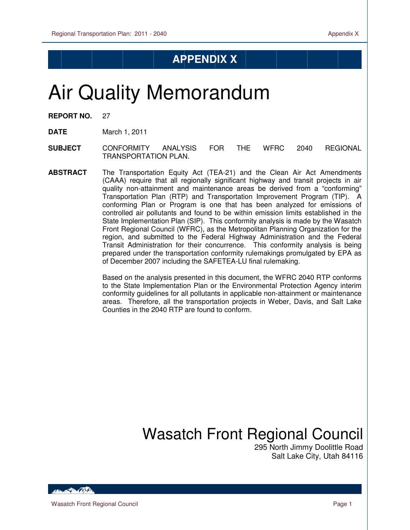## **APPENDIX X**

# Air Quality Memorandum

| <b>REPORT NO.</b> |  | 27 |
|-------------------|--|----|
|-------------------|--|----|

 $\overline{a}$ 

**DATE** March 1, 2011

- **SUBJECT** CONFORMITY ANALYSIS FOR THE WFRC 2040 REGIONAL TRANSPORTATION PLAN.
- **ABSTRACT** The Transportation Equity Act (TEA-21) and the Clean Air Act Amendments (CAAA) require that all regionally significant highway and transit projects in air quality non-attainment and maintenance areas be derived from a "conforming" Transportation Plan (RTP) and Transportation Improvement Program (TIP). A conforming Plan or Program is one that has been analyzed for emissions of controlled air pollutants and found to be within emission limits established in the State Implementation Plan (SIP). This conformity analysis is made by the Wasatch Front Regional Council (WFRC), as the Metropolitan Planning Organization for the region, and submitted to the Federal Highway Administration and the Federal Transit Administration for their concurrence. This conformity analysis is being prepared under the transportation conformity rulemakings promulgated by EPA as of December 2007 including the SAFETEA-LU final rulemaking.

Based on the analysis presented in this document, the WFRC 2040 RTP conforms to the State Implementation Plan or the Environmental Protection Agency interim conformity guidelines for all pollutants in applicable non-attainment or maintenance areas. Therefore, all the transportation projects in Weber, Davis, and Salt Lake Counties in the 2040 RTP are found to conform.

# Wasatch Front Regional Council

 295 North Jimmy Doolittle Road Salt Lake City, Utah 84116

**Construction**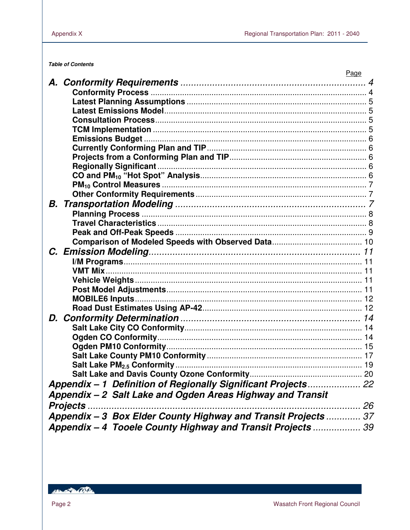**Table of Contents** 

|                                                                | Page |
|----------------------------------------------------------------|------|
|                                                                |      |
|                                                                |      |
|                                                                |      |
|                                                                |      |
|                                                                |      |
|                                                                |      |
|                                                                |      |
|                                                                |      |
|                                                                |      |
|                                                                |      |
|                                                                |      |
|                                                                |      |
|                                                                |      |
|                                                                |      |
|                                                                |      |
|                                                                |      |
|                                                                |      |
|                                                                |      |
|                                                                |      |
|                                                                |      |
|                                                                |      |
|                                                                |      |
|                                                                |      |
|                                                                |      |
|                                                                |      |
|                                                                |      |
|                                                                |      |
|                                                                |      |
|                                                                |      |
|                                                                |      |
|                                                                |      |
|                                                                |      |
| Appendix - 1 Definition of Regionally Significant Projects 22  |      |
| Appendix - 2 Salt Lake and Ogden Areas Highway and Transit     |      |
| <b>Projects.</b>                                               |      |
| Appendix - 3 Box Elder County Highway and Transit Projects  37 |      |
| Appendix - 4 Tooele County Highway and Transit Projects  39    |      |
|                                                                |      |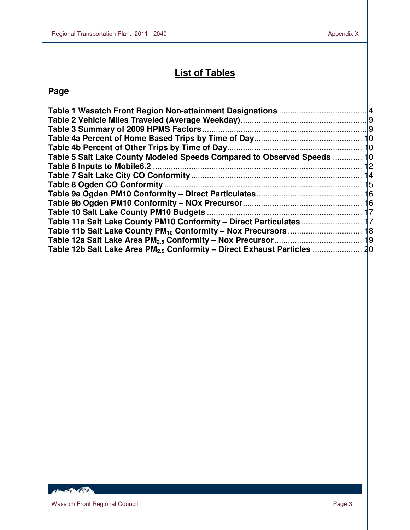# **List of Tables**

## **Page**

 $\overline{a}$ 

| Table 5 Salt Lake County Modeled Speeds Compared to Observed Speeds  10 |    |
|-------------------------------------------------------------------------|----|
|                                                                         |    |
|                                                                         | 14 |
|                                                                         |    |
|                                                                         |    |
|                                                                         |    |
|                                                                         |    |
| Table 11a Salt Lake County PM10 Conformity - Direct Particulates  17    |    |
|                                                                         |    |
|                                                                         |    |
|                                                                         |    |
|                                                                         |    |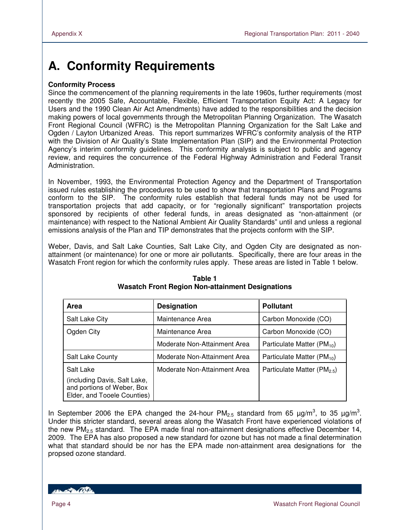# **A. Conformity Requirements**

### **Conformity Process**

Since the commencement of the planning requirements in the late 1960s, further requirements (most recently the 2005 Safe, Accountable, Flexible, Efficient Transportation Equity Act: A Legacy for Users and the 1990 Clean Air Act Amendments) have added to the responsibilities and the decision making powers of local governments through the Metropolitan Planning Organization. The Wasatch Front Regional Council (WFRC) is the Metropolitan Planning Organization for the Salt Lake and Ogden / Layton Urbanized Areas. This report summarizes WFRC's conformity analysis of the RTP with the Division of Air Quality's State Implementation Plan (SIP) and the Environmental Protection Agency's interim conformity guidelines. This conformity analysis is subject to public and agency review, and requires the concurrence of the Federal Highway Administration and Federal Transit Administration.

In November, 1993, the Environmental Protection Agency and the Department of Transportation issued rules establishing the procedures to be used to show that transportation Plans and Programs conform to the SIP. The conformity rules establish that federal funds may not be used for transportation projects that add capacity, or for "regionally significant" transportation projects sponsored by recipients of other federal funds, in areas designated as "non-attainment (or maintenance) with respect to the National Ambient Air Quality Standards" until and unless a regional emissions analysis of the Plan and TIP demonstrates that the projects conform with the SIP.

Weber, Davis, and Salt Lake Counties, Salt Lake City, and Ogden City are designated as nonattainment (or maintenance) for one or more air pollutants. Specifically, there are four areas in the Wasatch Front region for which the conformity rules apply. These areas are listed in Table 1 below.

| Area                                                                                      | <b>Designation</b>           | <b>Pollutant</b>                        |
|-------------------------------------------------------------------------------------------|------------------------------|-----------------------------------------|
| Salt Lake City                                                                            | Maintenance Area             | Carbon Monoxide (CO)                    |
| Ogden City                                                                                | Maintenance Area             | Carbon Monoxide (CO)                    |
|                                                                                           | Moderate Non-Attainment Area | Particulate Matter $(PM_{10})$          |
| <b>Salt Lake County</b>                                                                   | Moderate Non-Attainment Area | Particulate Matter $(PM_{10})$          |
| Salt Lake                                                                                 | Moderate Non-Attainment Area | Particulate Matter (PM <sub>2.5</sub> ) |
| (including Davis, Salt Lake,<br>and portions of Weber, Box<br>Elder, and Tooele Counties) |                              |                                         |

#### **Table 1 Wasatch Front Region Non-attainment Designations**

In September 2006 the EPA changed the 24-hour  $PM_{2.5}$  standard from 65  $\mu$ g/m<sup>3</sup>, to 35  $\mu$ g/m<sup>3</sup>. Under this stricter standard, several areas along the Wasatch Front have experienced violations of the new  $PM<sub>2.5</sub>$  standard. The EPA made final non-attainment designations effective December 14, 2009. The EPA has also proposed a new standard for ozone but has not made a final determination what that standard should be nor has the EPA made non-attainment area designations for the propsed ozone standard.

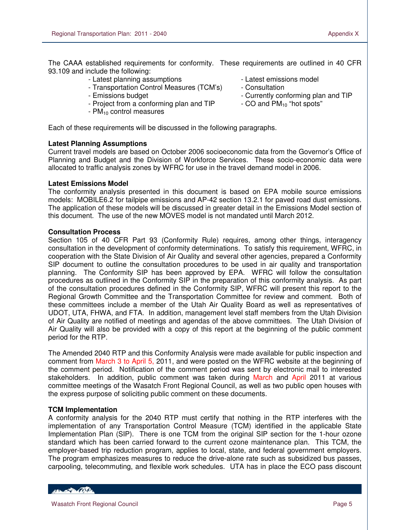The CAAA established requirements for conformity. These requirements are outlined in 40 CFR 93.109 and include the following:

- Latest planning assumptions Latest emissions model
- Transportation Control Measures (TCM's) Consultation
- 
- Project from a conforming plan and TIP
- $-$  PM $_{10}$  control measures
- 
- 
- Emissions budget<br>- Currently conforming plan and TIP<br>- CO and  $PM_{10}$  "hot spots"
	-

Each of these requirements will be discussed in the following paragraphs.

#### **Latest Planning Assumptions**

Current travel models are based on October 2006 socioeconomic data from the Governor's Office of Planning and Budget and the Division of Workforce Services. These socio-economic data were allocated to traffic analysis zones by WFRC for use in the travel demand model in 2006.

#### **Latest Emissions Model**

The conformity analysis presented in this document is based on EPA mobile source emissions models: MOBILE6.2 for tailpipe emissions and AP-42 section 13.2.1 for paved road dust emissions. The application of these models will be discussed in greater detail in the Emissions Model section of this document. The use of the new MOVES model is not mandated until March 2012.

#### **Consultation Process**

Section 105 of 40 CFR Part 93 (Conformity Rule) requires, among other things, interagency consultation in the development of conformity determinations. To satisfy this requirement, WFRC, in cooperation with the State Division of Air Quality and several other agencies, prepared a Conformity SIP document to outline the consultation procedures to be used in air quality and transportation planning. The Conformity SIP has been approved by EPA. WFRC will follow the consultation procedures as outlined in the Conformity SIP in the preparation of this conformity analysis. As part of the consultation procedures defined in the Conformity SIP, WFRC will present this report to the Regional Growth Committee and the Transportation Committee for review and comment. Both of these committees include a member of the Utah Air Quality Board as well as representatives of UDOT, UTA, FHWA, and FTA. In addition, management level staff members from the Utah Division of Air Quality are notified of meetings and agendas of the above committees. The Utah Division of Air Quality will also be provided with a copy of this report at the beginning of the public comment period for the RTP.

The Amended 2040 RTP and this Conformity Analysis were made available for public inspection and comment from March 3 to April 5, 2011, and were posted on the WFRC website at the beginning of the comment period. Notification of the comment period was sent by electronic mail to interested stakeholders. In addition, public comment was taken during March and April 2011 at various committee meetings of the Wasatch Front Regional Council, as well as two public open houses with the express purpose of soliciting public comment on these documents.

### **TCM Implementation**

A conformity analysis for the 2040 RTP must certify that nothing in the RTP interferes with the implementation of any Transportation Control Measure (TCM) identified in the applicable State Implementation Plan (SIP). There is one TCM from the original SIP section for the 1-hour ozone standard which has been carried forward to the current ozone maintenance plan. This TCM, the employer-based trip reduction program, applies to local, state, and federal government employers. The program emphasizes measures to reduce the drive-alone rate such as subsidized bus passes, carpooling, telecommuting, and flexible work schedules. UTA has in place the ECO pass discount

HELL POLITIC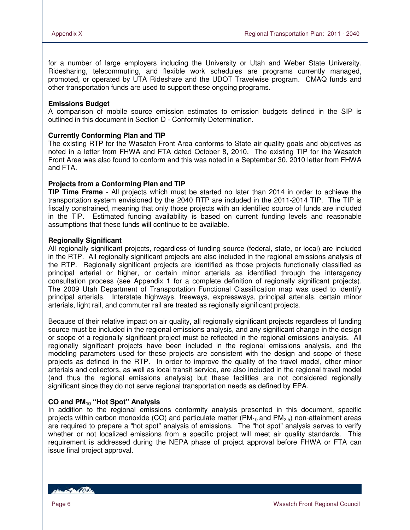for a number of large employers including the University or Utah and Weber State University. Ridesharing, telecommuting, and flexible work schedules are programs currently managed, promoted, or operated by UTA Rideshare and the UDOT Travelwise program. CMAQ funds and other transportation funds are used to support these ongoing programs.

#### **Emissions Budget**

A comparison of mobile source emission estimates to emission budgets defined in the SIP is outlined in this document in Section D - Conformity Determination.

#### **Currently Conforming Plan and TIP**

The existing RTP for the Wasatch Front Area conforms to State air quality goals and objectives as noted in a letter from FHWA and FTA dated October 8, 2010. The existing TIP for the Wasatch Front Area was also found to conform and this was noted in a September 30, 2010 letter from FHWA and FTA.

#### **Projects from a Conforming Plan and TIP**

**TIP Time Frame** - All projects which must be started no later than 2014 in order to achieve the transportation system envisioned by the 2040 RTP are included in the 2011-2014 TIP. The TIP is fiscally constrained, meaning that only those projects with an identified source of funds are included in the TIP. Estimated funding availability is based on current funding levels and reasonable assumptions that these funds will continue to be available.

#### **Regionally Significant**

All regionally significant projects, regardless of funding source (federal, state, or local) are included in the RTP. All regionally significant projects are also included in the regional emissions analysis of the RTP. Regionally significant projects are identified as those projects functionally classified as principal arterial or higher, or certain minor arterials as identified through the interagency consultation process (see Appendix 1 for a complete definition of regionally significant projects). The 2009 Utah Department of Transportation Functional Classification map was used to identify principal arterials. Interstate highways, freeways, expressways, principal arterials, certain minor arterials, light rail, and commuter rail are treated as regionally significant projects.

Because of their relative impact on air quality, all regionally significant projects regardless of funding source must be included in the regional emissions analysis, and any significant change in the design or scope of a regionally significant project must be reflected in the regional emissions analysis. All regionally significant projects have been included in the regional emissions analysis, and the modeling parameters used for these projects are consistent with the design and scope of these projects as defined in the RTP. In order to improve the quality of the travel model, other minor arterials and collectors, as well as local transit service, are also included in the regional travel model (and thus the regional emissions analysis) but these facilities are not considered regionally significant since they do not serve regional transportation needs as defined by EPA.

### **CO and PM10 "Hot Spot" Analysis**

In addition to the regional emissions conformity analysis presented in this document, specific projects within carbon monoxide (CO) and particulate matter ( $PM_{10}$  and  $PM_{2.5}$ ) non-attainment areas are required to prepare a "hot spot" analysis of emissions. The "hot spot" analysis serves to verify whether or not localized emissions from a specific project will meet air quality standards. This requirement is addressed during the NEPA phase of project approval before FHWA or FTA can issue final project approval.

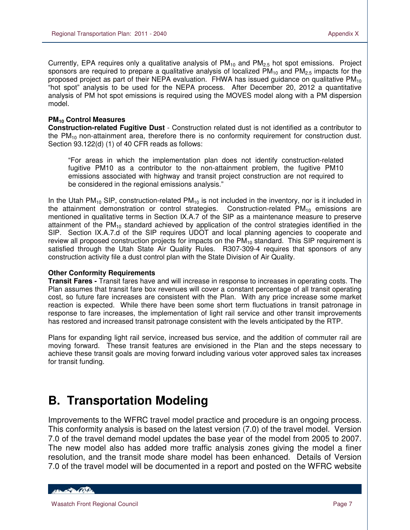Currently, EPA requires only a qualitative analysis of  $PM_{10}$  and  $PM_{2.5}$  hot spot emissions. Project sponsors are required to prepare a qualitative analysis of localized  $PM_{10}$  and  $PM_{2.5}$  impacts for the proposed project as part of their NEPA evaluation. FHWA has issued guidance on qualitative  $PM_{10}$ "hot spot" analysis to be used for the NEPA process. After December 20, 2012 a quantitative analysis of PM hot spot emissions is required using the MOVES model along with a PM dispersion model.

#### **PM10 Control Measures**

 $\overline{a}$ 

**Construction-related Fugitive Dust** - Construction related dust is not identified as a contributor to the  $PM_{10}$  non-attainment area, therefore there is no conformity requirement for construction dust. Section 93.122(d) (1) of 40 CFR reads as follows:

"For areas in which the implementation plan does not identify construction-related fugitive PM10 as a contributor to the non-attainment problem, the fugitive PM10 emissions associated with highway and transit project construction are not required to be considered in the regional emissions analysis."

In the Utah PM<sub>10</sub> SIP, construction-related PM<sub>10</sub> is not included in the inventory, nor is it included in the attainment demonstration or control strategies. Construction-related  $PM_{10}$  emissions are mentioned in qualitative terms in Section IX.A.7 of the SIP as a maintenance measure to preserve attainment of the  $PM_{10}$  standard achieved by application of the control strategies identified in the SIP. Section IX.A.7.d of the SIP requires UDOT and local planning agencies to cooperate and review all proposed construction projects for impacts on the  $PM_{10}$  standard. This SIP requirement is satisfied through the Utah State Air Quality Rules. R307-309-4 requires that sponsors of any construction activity file a dust control plan with the State Division of Air Quality.

### **Other Conformity Requirements**

**Transit Fares -** Transit fares have and will increase in response to increases in operating costs. The Plan assumes that transit fare box revenues will cover a constant percentage of all transit operating cost, so future fare increases are consistent with the Plan. With any price increase some market reaction is expected. While there have been some short term fluctuations in transit patronage in response to fare increases, the implementation of light rail service and other transit improvements has restored and increased transit patronage consistent with the levels anticipated by the RTP.

Plans for expanding light rail service, increased bus service, and the addition of commuter rail are moving forward. These transit features are envisioned in the Plan and the steps necessary to achieve these transit goals are moving forward including various voter approved sales tax increases for transit funding.

# **B. Transportation Modeling**

Improvements to the WFRC travel model practice and procedure is an ongoing process. This conformity analysis is based on the latest version (7.0) of the travel model. Version 7.0 of the travel demand model updates the base year of the model from 2005 to 2007. The new model also has added more traffic analysis zones giving the model a finer resolution, and the transit mode share model has been enhanced. Details of Version 7.0 of the travel model will be documented in a report and posted on the WFRC website

Henry Company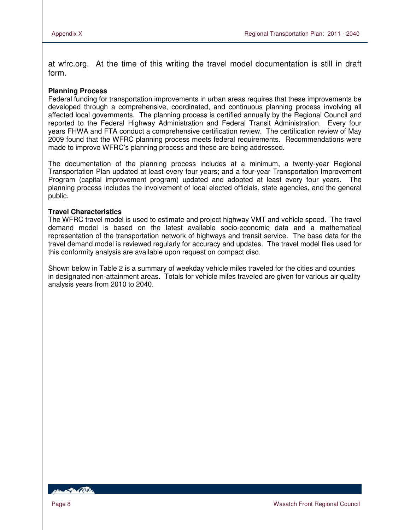at wfrc.org. At the time of this writing the travel model documentation is still in draft form.

#### **Planning Process**

Federal funding for transportation improvements in urban areas requires that these improvements be developed through a comprehensive, coordinated, and continuous planning process involving all affected local governments. The planning process is certified annually by the Regional Council and reported to the Federal Highway Administration and Federal Transit Administration. Every four years FHWA and FTA conduct a comprehensive certification review. The certification review of May 2009 found that the WFRC planning process meets federal requirements. Recommendations were made to improve WFRC's planning process and these are being addressed.

The documentation of the planning process includes at a minimum, a twenty-year Regional Transportation Plan updated at least every four years; and a four-year Transportation Improvement Program (capital improvement program) updated and adopted at least every four years. The planning process includes the involvement of local elected officials, state agencies, and the general public.

#### **Travel Characteristics**

The WFRC travel model is used to estimate and project highway VMT and vehicle speed. The travel demand model is based on the latest available socio-economic data and a mathematical representation of the transportation network of highways and transit service. The base data for the travel demand model is reviewed regularly for accuracy and updates. The travel model files used for this conformity analysis are available upon request on compact disc.

Shown below in Table 2 is a summary of weekday vehicle miles traveled for the cities and counties in designated non-attainment areas. Totals for vehicle miles traveled are given for various air quality analysis years from 2010 to 2040.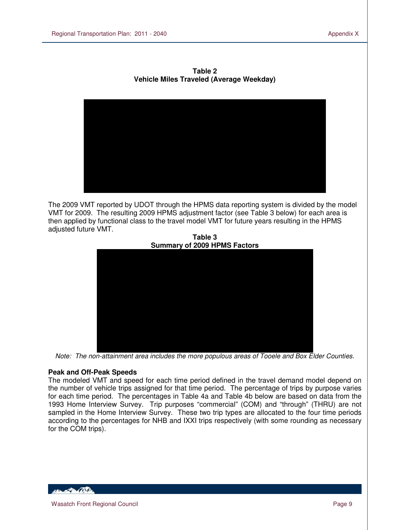

**Table 2 Vehicle Miles Traveled (Average Weekday)**

The 2009 VMT reported by UDOT through the HPMS data reporting system is divided by the model VMT for 2009. The resulting 2009 HPMS adjustment factor (see Table 3 below) for each area is then applied by functional class to the travel model VMT for future years resulting in the HPMS adjusted future VMT.



**Table 3**

Note: The non-attainment area includes the more populous areas of Tooele and Box Elder Counties.

### **Peak and Off-Peak Speeds**

The modeled VMT and speed for each time period defined in the travel demand model depend on the number of vehicle trips assigned for that time period. The percentage of trips by purpose varies for each time period. The percentages in Table 4a and Table 4b below are based on data from the 1993 Home Interview Survey. Trip purposes "commercial" (COM) and "through" (THRU) are not sampled in the Home Interview Survey. These two trip types are allocated to the four time periods according to the percentages for NHB and IXXI trips respectively (with some rounding as necessary for the COM trips).

**ARCHAMER CONTENT**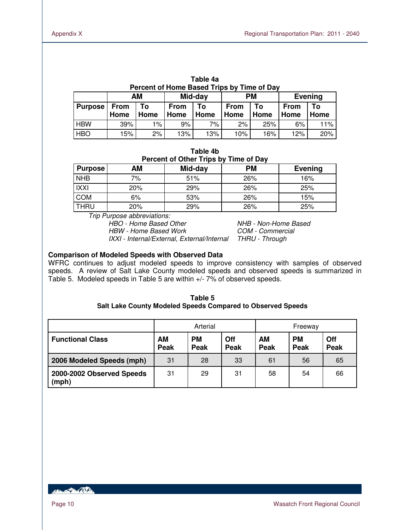| Percent of Home Based Trips by Time of Day |      |      |             |         |             |           |      |                |
|--------------------------------------------|------|------|-------------|---------|-------------|-----------|------|----------------|
|                                            |      | AM   |             | Mid-day |             | <b>PM</b> |      | <b>Evening</b> |
| <b>Purpose</b>                             | From | To   | <b>From</b> | Т٥      | <b>From</b> | Тο        | From | То             |
|                                            | Home | Home | Home        | Home    | Home        | Home      | Home | Home           |
| <b>HBW</b>                                 | 39%  | 1%   | 9%          | 7%      | 2%          | 25%       | 6%   | 11%            |
| <b>HBO</b>                                 | 15%  | 2%   | 13%         | 13%     | 10%         | 16%       | 12%  | 20%            |

**Table 4a** 

| Table 4b                              |
|---------------------------------------|
| Percent of Other Trips by Time of Day |

| Purpose     | AΜ  | Mid-day | <b>PM</b> | Evening |
|-------------|-----|---------|-----------|---------|
| <b>NHB</b>  | 7%  | 51%     | 26%       | 16%     |
| IXXI        | 20% | 29%     | 26%       | 25%     |
| <b>COM</b>  | 6%  | 53%     | 26%       | 15%     |
| <b>THRU</b> | 20% | 29%     | 26%       | 25%     |

Trip Purpose abbreviations:

HBW - Home Based Work COM - Commercial

HBO - Home Based Other NHB - Non-Home Based IXXI - Internal/External, External/Internal THRU - Through

#### **Comparison of Modeled Speeds with Observed Data**

WFRC continues to adjust modeled speeds to improve consistency with samples of observed speeds. A review of Salt Lake County modeled speeds and observed speeds is summarized in Table 5. Modeled speeds in Table 5 are within +/- 7% of observed speeds.

| Table 5                                                     |
|-------------------------------------------------------------|
| Salt Lake County Modeled Speeds Compared to Observed Speeds |

|                                    | Arterial   |                   | Freeway     |                   |                   |                    |
|------------------------------------|------------|-------------------|-------------|-------------------|-------------------|--------------------|
| <b>Functional Class</b>            | AM<br>Peak | <b>PM</b><br>Peak | Off<br>Peak | <b>AM</b><br>Peak | <b>PM</b><br>Peak | Off<br><b>Peak</b> |
| 2006 Modeled Speeds (mph)          | 31         | 28                | 33          | 61                | 56                | 65                 |
| 2000-2002 Observed Speeds<br>(mph) | 31         | 29                | 31          | 58                | 54                | 66                 |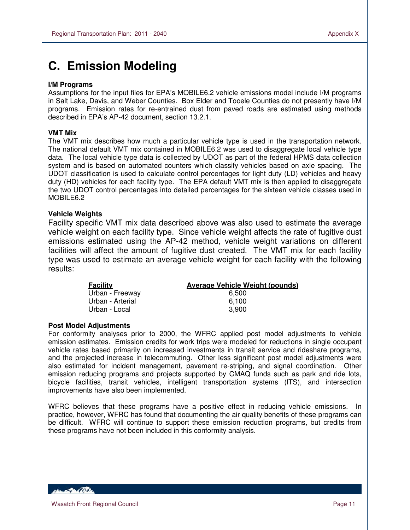# **C. Emission Modeling**

### **I/M Programs**

 $\overline{a}$ 

Assumptions for the input files for EPA's MOBILE6.2 vehicle emissions model include I/M programs in Salt Lake, Davis, and Weber Counties. Box Elder and Tooele Counties do not presently have I/M programs. Emission rates for re-entrained dust from paved roads are estimated using methods described in EPA's AP-42 document, section 13.2.1.

#### **VMT Mix**

The VMT mix describes how much a particular vehicle type is used in the transportation network. The national default VMT mix contained in MOBILE6.2 was used to disaggregate local vehicle type data. The local vehicle type data is collected by UDOT as part of the federal HPMS data collection system and is based on automated counters which classify vehicles based on axle spacing. The UDOT classification is used to calculate control percentages for light duty (LD) vehicles and heavy duty (HD) vehicles for each facility type. The EPA default VMT mix is then applied to disaggregate the two UDOT control percentages into detailed percentages for the sixteen vehicle classes used in MOBILE6.2

#### **Vehicle Weights**

Facility specific VMT mix data described above was also used to estimate the average vehicle weight on each facility type. Since vehicle weight affects the rate of fugitive dust emissions estimated using the AP-42 method, vehicle weight variations on different facilities will affect the amount of fugitive dust created. The VMT mix for each facility type was used to estimate an average vehicle weight for each facility with the following results:

| <b>Facility</b>  | <b>Average Vehicle Weight (pounds)</b> |
|------------------|----------------------------------------|
| Urban - Freeway  | 6.500                                  |
| Urban - Arterial | 6.100                                  |
| Urban - Local    | 3.900                                  |

#### **Post Model Adjustments**

For conformity analyses prior to 2000, the WFRC applied post model adjustments to vehicle emission estimates. Emission credits for work trips were modeled for reductions in single occupant vehicle rates based primarily on increased investments in transit service and rideshare programs, and the projected increase in telecommuting. Other less significant post model adjustments were also estimated for incident management, pavement re-striping, and signal coordination. Other emission reducing programs and projects supported by CMAQ funds such as park and ride lots, bicycle facilities, transit vehicles, intelligent transportation systems (ITS), and intersection improvements have also been implemented.

WFRC believes that these programs have a positive effect in reducing vehicle emissions. In practice, however, WFRC has found that documenting the air quality benefits of these programs can be difficult. WFRC will continue to support these emission reduction programs, but credits from these programs have not been included in this conformity analysis.

HELL PORTAL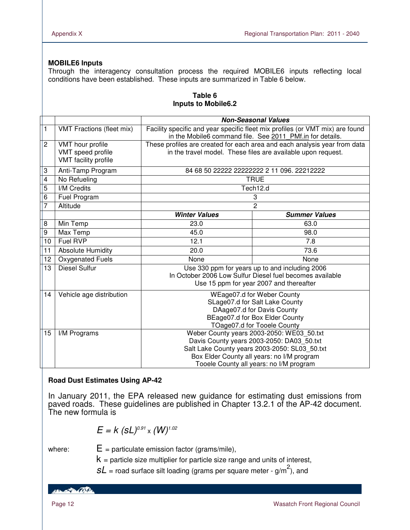### **MOBILE6 Inputs**

Through the interagency consultation process the required MOBILE6 inputs reflecting local conditions have been established. These inputs are summarized in Table 6 below.

|                |                                                               | <b>Non-Seasonal Values</b>                                                                                                                                                                                                       |                                            |  |  |  |
|----------------|---------------------------------------------------------------|----------------------------------------------------------------------------------------------------------------------------------------------------------------------------------------------------------------------------------|--------------------------------------------|--|--|--|
| 1              | <b>VMT Fractions (fleet mix)</b>                              | Facility specific and year specific fleet mix profiles (or VMT mix) are found<br>in the Mobile6 command file. See 2011 PMf.in for details.                                                                                       |                                            |  |  |  |
| $\overline{c}$ | VMT hour profile<br>VMT speed profile<br>VMT facility profile | These profiles are created for each area and each analysis year from data<br>in the travel model. These files are available upon request.                                                                                        |                                            |  |  |  |
| 3              | Anti-Tamp Program                                             |                                                                                                                                                                                                                                  | 84 68 50 22222 22222222 2 11 096. 22212222 |  |  |  |
| 4              | No Refueling                                                  |                                                                                                                                                                                                                                  | <b>TRUE</b>                                |  |  |  |
| 5              | <b>I/M Credits</b>                                            |                                                                                                                                                                                                                                  | Tech12.d                                   |  |  |  |
| 6              | Fuel Program                                                  |                                                                                                                                                                                                                                  | 3                                          |  |  |  |
| 7              | Altitude                                                      | $\overline{c}$                                                                                                                                                                                                                   |                                            |  |  |  |
|                |                                                               | <b>Winter Values</b>                                                                                                                                                                                                             | <b>Summer Values</b>                       |  |  |  |
| 8              | Min Temp                                                      | 23.0                                                                                                                                                                                                                             | 63.0                                       |  |  |  |
| 9              | Max Temp                                                      | 45.0                                                                                                                                                                                                                             | 98.0                                       |  |  |  |
| 10             | Fuel RVP                                                      | 12.1                                                                                                                                                                                                                             | 7.8                                        |  |  |  |
| 11             | <b>Absolute Humidity</b>                                      | 20.0                                                                                                                                                                                                                             | 73.6                                       |  |  |  |
| 12             | Oxygenated Fuels                                              | None                                                                                                                                                                                                                             | None                                       |  |  |  |
| 13             | <b>Diesel Sulfur</b>                                          | Use 330 ppm for years up to and including 2006<br>In October 2006 Low Sulfur Diesel fuel becomes available<br>Use 15 ppm for year 2007 and thereafter                                                                            |                                            |  |  |  |
| 14             | Vehicle age distribution                                      | WEage07.d for Weber County<br>SLage07.d for Salt Lake County<br>DAage07.d for Davis County<br>BEage07.d for Box Elder County<br>TOage07.d for Tooele County                                                                      |                                            |  |  |  |
| 15             | I/M Programs                                                  | Weber County years 2003-2050: WE03_50.txt<br>Davis County years 2003-2050: DA03_50.txt<br>Salt Lake County years 2003-2050: SL03_50.txt<br>Box Elder County all years: no I/M program<br>Tooele County all years: no I/M program |                                            |  |  |  |

#### **Table 6 Inputs to Mobile6.2**

### **Road Dust Estimates Using AP-42**

In January 2011, the EPA released new guidance for estimating dust emissions from paved roads. These guidelines are published in Chapter 13.2.1 of the AP-42 document. The new formula is

$$
E = k (sL)^{0.91} \times (W)^{1.02}
$$

where:  $E =$  particulate emission factor (grams/mile),

i.

 $k =$  particle size multiplier for particle size range and units of interest,

 $SL$  = road surface silt loading (grams per square meter - g/m<sup>2</sup>), and

HELLED COST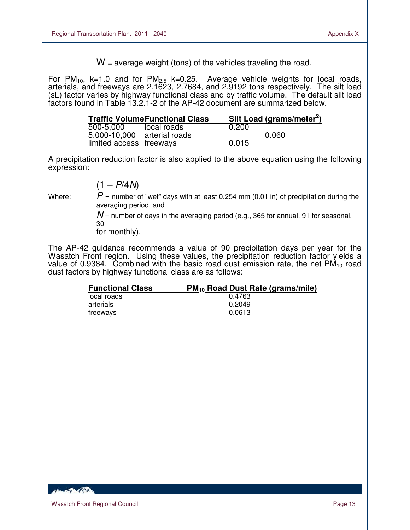$W =$  average weight (tons) of the vehicles traveling the road.

For PM<sub>10</sub>, k=1.0 and for PM<sub>2.5</sub> k=0.25. Average vehicle weights for local roads, arterials, and freeways are 2.1623, 2.7684, and 2.9192 tons respectively. The silt load (sL) factor varies by highway functional class and by traffic volume. The default silt load factors found in Table 13.2.1-2 of the AP-42 document are summarized below.

|                             | <b>Traffic VolumeFunctional Class</b> |       | Silt Load (grams/meter <sup>2</sup> ) |
|-----------------------------|---------------------------------------|-------|---------------------------------------|
| 500-5.000                   | local roads                           | 0.200 |                                       |
| 5,000-10,000 arterial roads |                                       |       | 0.060                                 |
| limited access freeways     |                                       | 0.015 |                                       |

A precipitation reduction factor is also applied to the above equation using the following expression:

$$
(1 - P/4N)
$$

 $\overline{a}$ 

Where:  $P =$  number of "wet" days with at least 0.254 mm (0.01 in) of precipitation during the averaging period, and

> $N$  = number of days in the averaging period (e.g., 365 for annual, 91 for seasonal, 30

for monthly).

The AP-42 guidance recommends a value of 90 precipitation days per year for the Wasatch Front region. Using these values, the precipitation reduction factor yields a value of 0.9384. Combined with the basic road dust emission rate, the net  $PM_{10}$  road dust factors by highway functional class are as follows:

| <b>Functional Class</b> | PM <sub>10</sub> Road Dust Rate (grams/mile) |
|-------------------------|----------------------------------------------|
| local roads             | 0.4763                                       |
| arterials               | 0.2049                                       |
| treeways                | 0.0613                                       |

**CONTRACTOR**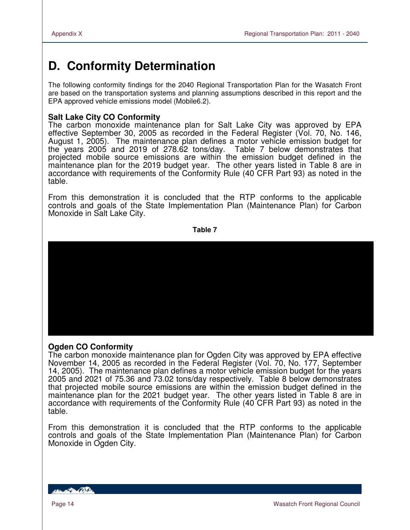# **D. Conformity Determination**

The following conformity findings for the 2040 Regional Transportation Plan for the Wasatch Front are based on the transportation systems and planning assumptions described in this report and the EPA approved vehicle emissions model (Mobile6.2).

### **Salt Lake City CO Conformity**

The carbon monoxide maintenance plan for Salt Lake City was approved by EPA effective September 30, 2005 as recorded in the Federal Register (Vol. 70, No. 146, August 1, 2005). The maintenance plan defines a motor vehicle emission budget for the years 2005 and 2019 of 278.62 tons/day. Table 7 below demonstrates that projected mobile source emissions are within the emission budget defined in the maintenance plan for the 2019 budget year. The other years listed in Table 8 are in accordance with requirements of the Conformity Rule (40 CFR Part 93) as noted in the table.

From this demonstration it is concluded that the RTP conforms to the applicable controls and goals of the State Implementation Plan (Maintenance Plan) for Carbon Monoxide in Salt Lake City.

**Table 7** 



### **Ogden CO Conformity**

The carbon monoxide maintenance plan for Ogden City was approved by EPA effective November 14, 2005 as recorded in the Federal Register (Vol. 70, No. 177, September 14, 2005). The maintenance plan defines a motor vehicle emission budget for the years 2005 and 2021 of 75.36 and 73.02 tons/day respectively. Table 8 below demonstrates that projected mobile source emissions are within the emission budget defined in the maintenance plan for the 2021 budget year. The other years listed in Table 8 are in accordance with requirements of the Conformity Rule (40 CFR Part 93) as noted in the table.

From this demonstration it is concluded that the RTP conforms to the applicable controls and goals of the State Implementation Plan (Maintenance Plan) for Carbon Monoxide in Ogden City.

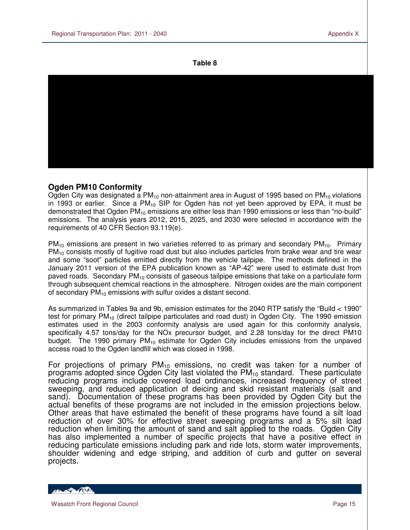**Table 8** 



### **Ogden PM10 Conformity**

Ogden City was designated a  $PM_{10}$  non-attainment area in August of 1995 based on  $PM_{10}$  violations in 1993 or earlier. Since a  $PM_{10}$  SIP for Ogden has not yet been approved by EPA, it must be demonstrated that Ogden  $PM_{10}$  emissions are either less than 1990 emissions or less than "no-build" emissions. The analysis years 2012, 2015, 2025, and 2030 were selected in accordance with the requirements of 40 CFR Section 93.119(e).

 $PM_{10}$  emissions are present in two varieties referred to as primary and secondary  $PM_{10}$ . Primary  $PM_{10}$  consists mostly of fugitive road dust but also includes particles from brake wear and tire wear and some "soot" particles emitted directly from the vehicle tailpipe. The methods defined in the January 2011 version of the EPA publication known as "AP-42" were used to estimate dust from paved roads. Secondary  $PM_{10}$  consists of gaseous tailpipe emissions that take on a particulate form through subsequent chemical reactions in the atmosphere. Nitrogen oxides are the main component of secondary  $PM_{10}$  emissions with sulfur oxides a distant second.

As summarized in Tables 9a and 9b, emission estimates for the 2040 RTP satisfy the "Build < 1990" test for primary PM<sub>10</sub> (direct tailpipe particulates and road dust) in Ogden City. The 1990 emission estimates used in the 2003 conformity analysis are used again for this conformity analysis, specifically 4.57 tons/day for the NOx precursor budget, and 2.28 tons/day for the direct PM10 budget. The 1990 primary  $PM_{10}$  estimate for Ogden City includes emissions from the unpaved access road to the Ogden landfill which was closed in 1998.

For projections of primary  $PM_{10}$  emissions, no credit was taken for a number of programs adopted since Ogden City last violated the  $PM_{10}$  standard. These particulate reducing programs include covered load ordinances, increased frequency of street sweeping, and reduced application of deicing and skid resistant materials (salt and sand). Documentation of these programs has been provided by Ogden City but the actual benefits of these programs are not included in the emission projections below. Other areas that have estimated the benefit of these programs have found a silt load reduction of over 30% for effective street sweeping programs and a 5% silt load reduction when limiting the amount of sand and salt applied to the roads. Ogden City has also implemented a number of specific projects that have a positive effect in reducing particulate emissions including park and ride lots, storm water improvements, shoulder widening and edge striping, and addition of curb and gutter on several projects.

HEL BOOK TO BE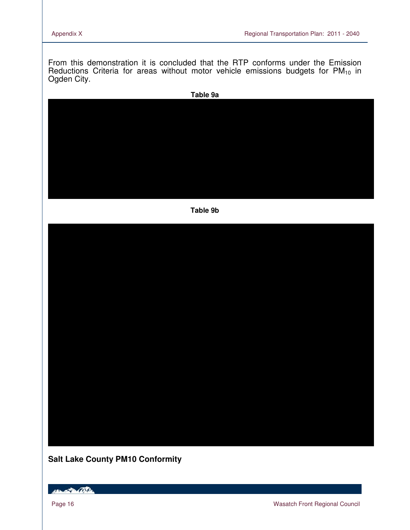From this demonstration it is concluded that the RTP conforms under the Emission Reductions Criteria for areas without motor vehicle emissions budgets for  $PM_{10}$  in Ogden City.



### **Salt Lake County PM10 Conformity**

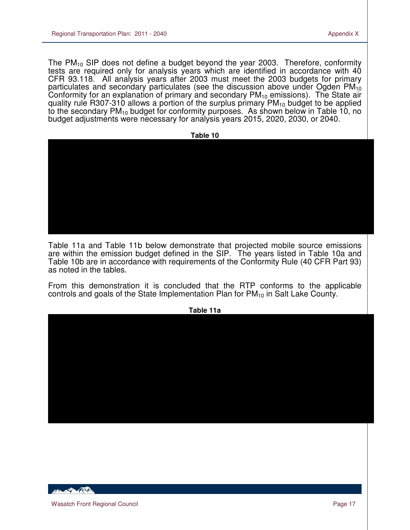The  $PM_{10}$  SIP does not define a budget beyond the year 2003. Therefore, conformity tests are required only for analysis years which are identified in accordance with 40 CFR 93.118. All analysis years after 2003 must meet the 2003 budgets for primary particulates and secondary particulates (see the discussion above under Ogden  $PM_{10}$ Conformity for an explanation of primary and secondary  $PM_{10}$  emissions). The State air quality rule R307-310 allows a portion of the surplus primary  $PM_{10}$  budget to be applied to the secondary  $PM_{10}$  budget for conformity purposes. As shown below in Table 10, no budget adjustments were necessary for analysis years 2015, 2020, 2030, or 2040.



Table 11a and Table 11b below demonstrate that projected mobile source emissions are within the emission budget defined in the SIP. The years listed in Table 10a and Table 10b are in accordance with requirements of the Conformity Rule (40 CFR Part 93) as noted in the tables.

From this demonstration it is concluded that the RTP conforms to the applicable controls and goals of the State Implementation Plan for  $PM_{10}$  in Salt Lake County.



**ABON APPLICATION**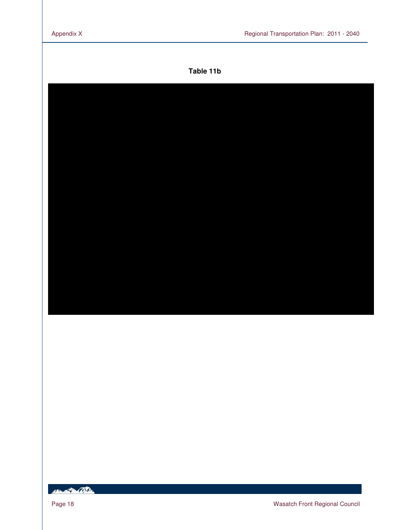### **Table 11b**

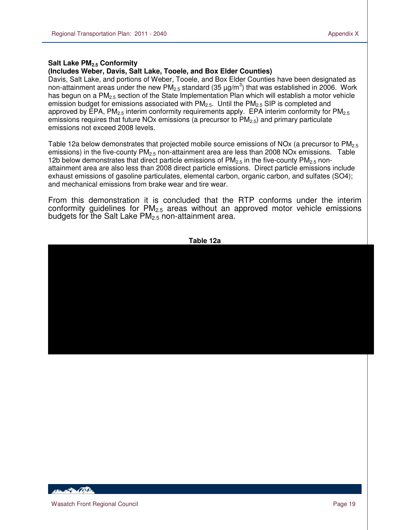#### **Salt Lake PM2.5 Conformity**

 $\overline{a}$ 

#### **(Includes Weber, Davis, Salt Lake, Tooele, and Box Elder Counties)**

Davis, Salt Lake, and portions of Weber, Tooele, and Box Elder Counties have been designated as non-attainment areas under the new PM<sub>2.5</sub> standard (35  $\mu$ g/m<sup>3</sup>) that was established in 2006. Work has begun on a  $PM<sub>2.5</sub>$  section of the State Implementation Plan which will establish a motor vehicle emission budget for emissions associated with  $PM_{2.5}$ . Until the  $PM_{2.5}$  SIP is completed and approved by EPA,  $PM_{2.5}$  interim conformity requirements apply. EPA interim conformity for  $PM_{2.5}$ emissions requires that future NOx emissions (a precursor to PM<sub>2.5</sub>) and primary particulate emissions not exceed 2008 levels.

Table 12a below demonstrates that projected mobile source emissions of NOx (a precursor to  $PM_{2.5}$ ) emissions) in the five-county  $PM<sub>2.5</sub>$  non-attainment area are less than 2008 NOx emissions. Table 12b below demonstrates that direct particle emissions of  $PM_{2.5}$  in the five-county  $PM_{2.5}$  nonattainment area are also less than 2008 direct particle emissions. Direct particle emissions include exhaust emissions of gasoline particulates, elemental carbon, organic carbon, and sulfates (SO4); and mechanical emissions from brake wear and tire wear.

From this demonstration it is concluded that the RTP conforms under the interim conformity guidelines for  $PM<sub>2.5</sub>$  areas without an approved motor vehicle emissions budgets for the Salt Lake  $PM<sub>2.5</sub>$  non-attainment area.



HELL OF THE ONLY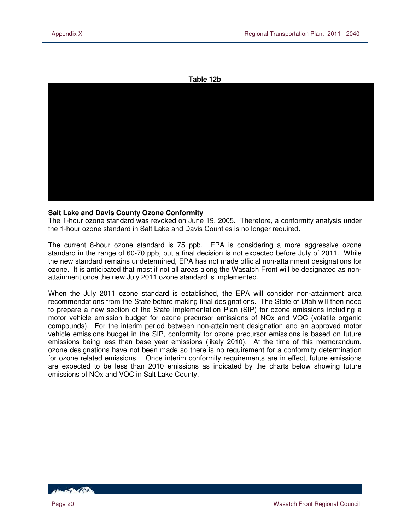#### **Table 12b**



#### **Salt Lake and Davis County Ozone Conformity**

The 1-hour ozone standard was revoked on June 19, 2005. Therefore, a conformity analysis under the 1-hour ozone standard in Salt Lake and Davis Counties is no longer required.

The current 8-hour ozone standard is 75 ppb. EPA is considering a more aggressive ozone standard in the range of 60-70 ppb, but a final decision is not expected before July of 2011. While the new standard remains undetermined, EPA has not made official non-attainment designations for ozone. It is anticipated that most if not all areas along the Wasatch Front will be designated as nonattainment once the new July 2011 ozone standard is implemented.

When the July 2011 ozone standard is established, the EPA will consider non-attainment area recommendations from the State before making final designations. The State of Utah will then need to prepare a new section of the State Implementation Plan (SIP) for ozone emissions including a motor vehicle emission budget for ozone precursor emissions of NOx and VOC (volatile organic compounds). For the interim period between non-attainment designation and an approved motor vehicle emissions budget in the SIP, conformity for ozone precursor emissions is based on future emissions being less than base year emissions (likely 2010). At the time of this memorandum, ozone designations have not been made so there is no requirement for a conformity determination for ozone related emissions. Once interim conformity requirements are in effect, future emissions are expected to be less than 2010 emissions as indicated by the charts below showing future emissions of NOx and VOC in Salt Lake County.

**ABLACE AND**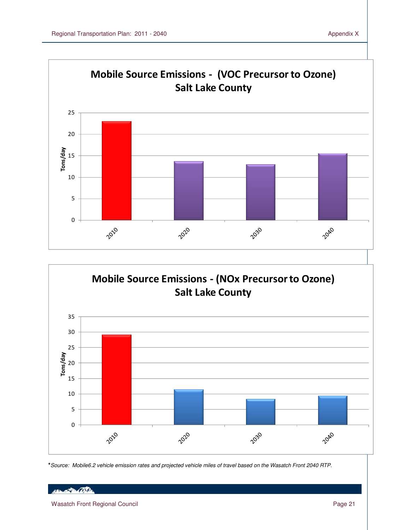

**\***Source: Mobile6.2 vehicle emission rates and projected vehicle miles of travel based on the Wasatch Front 2040 RTP.

Henry Part Only

Wasatch Front Regional Council **Page 21** Number 2014 12:38 Page 21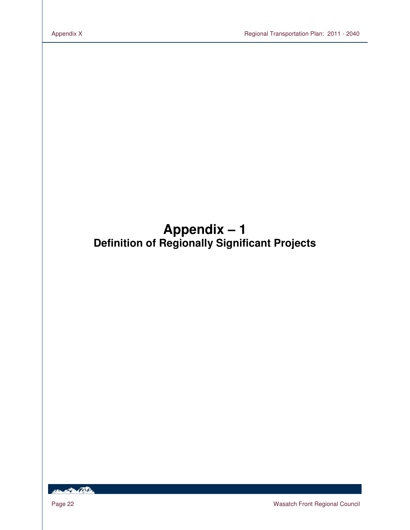# **Appendix – 1 Definition of Regionally Significant Projects**

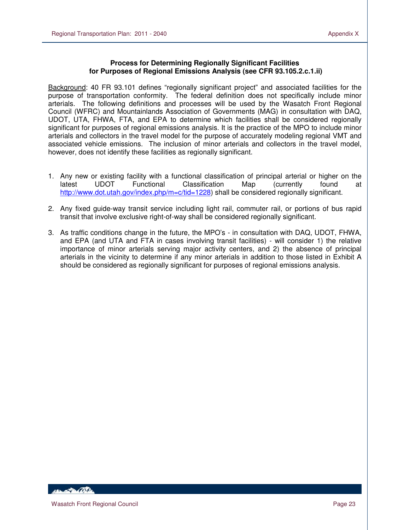#### **Process for Determining Regionally Significant Facilities for Purposes of Regional Emissions Analysis (see CFR 93.105.2.c.1.ii)**

Background: 40 FR 93.101 defines "regionally significant project" and associated facilities for the purpose of transportation conformity. The federal definition does not specifically include minor arterials. The following definitions and processes will be used by the Wasatch Front Regional Council (WFRC) and Mountainlands Association of Governments (MAG) in consultation with DAQ, UDOT, UTA, FHWA, FTA, and EPA to determine which facilities shall be considered regionally significant for purposes of regional emissions analysis. It is the practice of the MPO to include minor arterials and collectors in the travel model for the purpose of accurately modeling regional VMT and associated vehicle emissions. The inclusion of minor arterials and collectors in the travel model, however, does not identify these facilities as regionally significant.

- 1. Any new or existing facility with a functional classification of principal arterial or higher on the latest UDOT Functional Classification Map (currently found at latest UDOT Functional Classification Map (currently found at http://www.dot.utah.gov/index.php/m=c/tid=1228) shall be considered regionally significant.
- 2. Any fixed guide-way transit service including light rail, commuter rail, or portions of bus rapid transit that involve exclusive right-of-way shall be considered regionally significant.
- 3. As traffic conditions change in the future, the MPO's in consultation with DAQ, UDOT, FHWA, and EPA (and UTA and FTA in cases involving transit facilities) - will consider 1) the relative importance of minor arterials serving major activity centers, and 2) the absence of principal arterials in the vicinity to determine if any minor arterials in addition to those listed in Exhibit A should be considered as regionally significant for purposes of regional emissions analysis.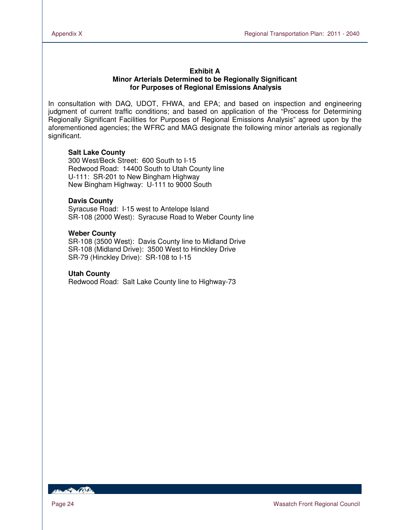#### **Exhibit A Minor Arterials Determined to be Regionally Significant for Purposes of Regional Emissions Analysis**

In consultation with DAQ, UDOT, FHWA, and EPA; and based on inspection and engineering judgment of current traffic conditions; and based on application of the "Process for Determining Regionally Significant Facilities for Purposes of Regional Emissions Analysis" agreed upon by the aforementioned agencies; the WFRC and MAG designate the following minor arterials as regionally significant.

#### **Salt Lake County**

300 West/Beck Street: 600 South to I-15 Redwood Road: 14400 South to Utah County line U-111: SR-201 to New Bingham Highway New Bingham Highway: U-111 to 9000 South

#### **Davis County**

Syracuse Road: I-15 west to Antelope Island SR-108 (2000 West): Syracuse Road to Weber County line

#### **Weber County**

SR-108 (3500 West): Davis County line to Midland Drive SR-108 (Midland Drive): 3500 West to Hinckley Drive SR-79 (Hinckley Drive): SR-108 to I-15

#### **Utah County**

Redwood Road: Salt Lake County line to Highway-73

**RESIDENCE**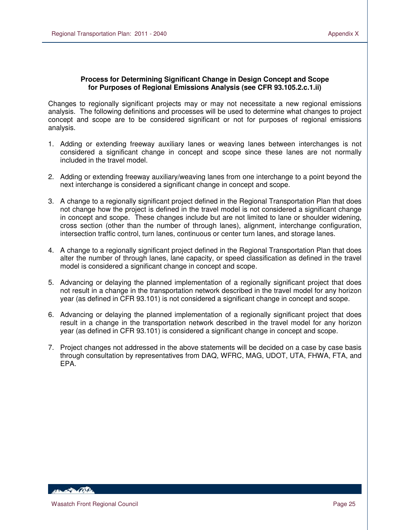### **Process for Determining Significant Change in Design Concept and Scope for Purposes of Regional Emissions Analysis (see CFR 93.105.2.c.1.ii)**

Changes to regionally significant projects may or may not necessitate a new regional emissions analysis. The following definitions and processes will be used to determine what changes to project concept and scope are to be considered significant or not for purposes of regional emissions analysis.

- 1. Adding or extending freeway auxiliary lanes or weaving lanes between interchanges is not considered a significant change in concept and scope since these lanes are not normally included in the travel model.
- 2. Adding or extending freeway auxiliary/weaving lanes from one interchange to a point beyond the next interchange is considered a significant change in concept and scope.
- 3. A change to a regionally significant project defined in the Regional Transportation Plan that does not change how the project is defined in the travel model is not considered a significant change in concept and scope. These changes include but are not limited to lane or shoulder widening, cross section (other than the number of through lanes), alignment, interchange configuration, intersection traffic control, turn lanes, continuous or center turn lanes, and storage lanes.
- 4. A change to a regionally significant project defined in the Regional Transportation Plan that does alter the number of through lanes, lane capacity, or speed classification as defined in the travel model is considered a significant change in concept and scope.
- 5. Advancing or delaying the planned implementation of a regionally significant project that does not result in a change in the transportation network described in the travel model for any horizon year (as defined in CFR 93.101) is not considered a significant change in concept and scope.
- 6. Advancing or delaying the planned implementation of a regionally significant project that does result in a change in the transportation network described in the travel model for any horizon year (as defined in CFR 93.101) is considered a significant change in concept and scope.
- 7. Project changes not addressed in the above statements will be decided on a case by case basis through consultation by representatives from DAQ, WFRC, MAG, UDOT, UTA, FHWA, FTA, and EPA.

*ABLACTER (BSD)*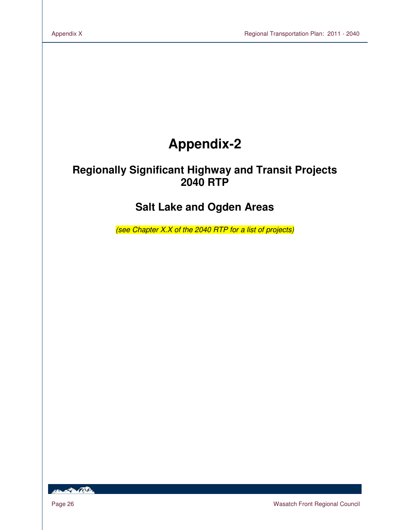# **Appendix-2**

# **Regionally Significant Highway and Transit Projects 2040 RTP**

## **Salt Lake and Ogden Areas**

(see Chapter X.X of the 2040 RTP for a list of projects)

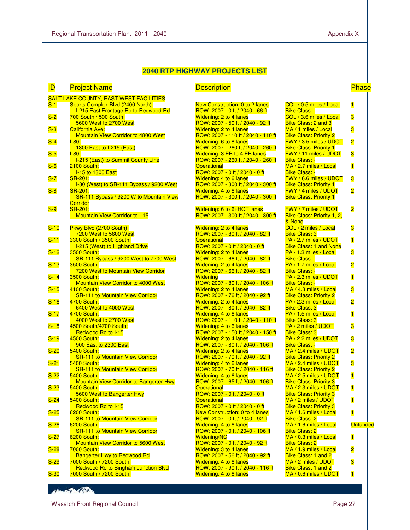#### **2040 RTP HIGHWAY PROJECTS LIST**

| <b>ID</b> | <b>Project Name</b>                                                       | <b>Description</b>                                                  |                                                         | <b>Phase</b>            |
|-----------|---------------------------------------------------------------------------|---------------------------------------------------------------------|---------------------------------------------------------|-------------------------|
|           | <b>SALT LAKE COUNTY, EAST-WEST FACILITIES</b>                             |                                                                     |                                                         |                         |
| $S-1$     | Sports Complex Blvd (2400 North):<br>I-215 East Frontage Rd to Redwood Rd | New Construction: 0 to 2 lanes<br>ROW: 2007 - 0 ft / 2040 - 66 ft   | COL / 0.5 miles / Local<br><b>Bike Class: -</b>         | $\overline{\mathbf{1}}$ |
| $S-2$     | 700 South / 500 South:                                                    | <b>Widening: 2 to 4 lanes</b>                                       | COL / 3.6 miles / Local                                 | 3                       |
|           | 5600 West to 2700 West                                                    | ROW: 2007 - 50 ft / 2040 - 92 ft                                    | <b>Bike Class: 2 and 3</b>                              |                         |
| $S-3$     | <b>California Ave:</b><br><b>Mountain View Corridor to 4800 West</b>      | <b>Widening: 2 to 4 lanes</b><br>ROW: 2007 - 110 ft / 2040 - 110 ft | MA / 1 miles / Local<br><b>Bike Class: Priority 2</b>   | 3                       |
| $S-4$     | $I-80:$                                                                   | Widening: 6 to 8 lanes                                              | FWY / 3.5 miles / UDOT                                  | $\overline{\mathbf{c}}$ |
|           | 1300 East to I-215 (East)                                                 | ROW: 2007 - 260 ft / 2040 - 260 ft                                  | <b>Bike Class: Priority 1</b>                           |                         |
| $S-5$     | $1 - 80:$                                                                 | Widening: 3 EB to 4 EB lanes                                        | <b>FWY / 11 miles / UDOT</b>                            | 3                       |
| $S-6$     | <b>I-215 (East) to Summit County Line</b><br>2100 South:                  | ROW: 2007 - 260 ft / 2040 - 260 ft<br><b>Operational</b>            | <b>Bike Class: -</b><br>MA / 2.7 miles / Local          | $\blacksquare$          |
|           | <b>I-15 to 1300 East</b>                                                  | ROW: 2007 - 0 ft / 2040 - 0 ft                                      | <b>Bike Class: -</b>                                    |                         |
| $S-7$     | <b>SR-201:</b>                                                            | Widening: 4 to 6 lanes                                              | FWY / 6.6 miles / UDOT                                  | 3                       |
|           | I-80 (West) to SR-111 Bypass / 9200 West                                  | ROW: 2007 - 300 ft / 2040 - 300 ft                                  | <b>Bike Class: Priority 1</b>                           |                         |
| $S-8$     | SR-201:                                                                   | Widening: 4 to 6 lanes                                              | FWY / 4 miles / UDOT                                    | $\overline{\mathbf{c}}$ |
|           | SR-111 Bypass / 9200 W to Mountain View<br><b>Corridor</b>                | ROW: 2007 - 300 ft / 2040 - 300 ft                                  | <b>Bike Class: Priority 1</b>                           |                         |
| $S-9$     | <b>SR-201:</b>                                                            | Widening: 6 to 6+HOT lanes                                          | <b>FWY / 7 miles / UDOT</b>                             | $\overline{\mathbf{2}}$ |
|           | <b>Mountain View Corridor to I-15</b>                                     | ROW: 2007 - 300 ft / 2040 - 300 ft                                  | <b>Bike Class: Priority 1, 2,</b>                       |                         |
|           |                                                                           |                                                                     | & None                                                  |                         |
| $S-10$    | Pkwy Blvd (2700 South):<br>7200 West to 5600 West                         | <b>Widening: 2 to 4 lanes</b><br>ROW: 2007 - 80 ft / 2040 - 82 ft   | COL / 2 miles / Local<br><b>Bike Class: 3</b>           | 3                       |
| $S-11$    | 3300 South / 3500 South:                                                  | <b>Operational</b>                                                  | PA / 2.7 miles / UDOT                                   | $\blacksquare$          |
|           | I-215 (West) to Highland Drive                                            | ROW: 2007 - 0 ft / 2040 - 0 ft                                      | <b>Bike Class: 1 and None</b>                           |                         |
| $S-12$    | <b>3500 South:</b>                                                        | <b>Widening: 2 to 4 lanes</b>                                       | PA / 1.3 miles / Local                                  | 3                       |
|           | SR-111 Bypass / 9200 West to 7200 West                                    | ROW: 2007 - 66 ft / 2040 - 82 ft                                    | <b>Bike Class: -</b>                                    |                         |
| $S-13$    | <b>3500 South:</b><br>7200 West to Mountain View Corridor                 | <b>Widening: 2 to 4 lanes</b><br>ROW: 2007 - 66 ft / 2040 - 82 ft   | PA / 1.7 miles / Local<br><b>Bike Class: -</b>          | 2                       |
| $S-14$    | <b>3500 South:</b>                                                        | Widening                                                            | PA / 2.3 miles / UDOT                                   | $\overline{\mathbf{1}}$ |
|           | Mountain View Corridor to 4000 West                                       | ROW: 2007 - 80 ft / 2040 - 106 ft                                   | <b>Bike Class: -</b>                                    |                         |
| $S-15$    | 4100 South:                                                               | <b>Widening: 2 to 4 lanes</b>                                       | MA / 4.3 miles / Local                                  | 3                       |
|           | <b>SR-111 to Mountain View Corridor</b>                                   | ROW: 2007 - 76 ft / 2040 - 92 ft                                    | <b>Bike Class: Priority 2</b>                           |                         |
| $S-16$    | 4700 South:<br>6400 West to 4000 West                                     | <b>Widening: 2 to 4 lanes</b><br>ROW: 2007 - 80 ft / 2040 - 82 ft   | PA / 2.3 miles / Local<br><b>Bike Class: 3</b>          | $\overline{\mathbf{2}}$ |
| $S-17$    | 4700 South:                                                               | Widening: 4 to 6 lanes                                              | PA / 1.5 miles / Local                                  | $\mathbf{1}$            |
|           | 4000 West to 2700 West                                                    | ROW: 2007 - 110 ft / 2040 - 110 ft                                  | <b>Bike Class: 3</b>                                    |                         |
| $S-18$    | 4500 South/4700 South:                                                    | Widening: 4 to 6 lanes                                              | PA / 2 miles / UDOT                                     | 3                       |
| $S-19$    | Redwood Rd to I-15<br>4500 South:                                         | ROW: 2007 - 150 ft / 2040 - 150 ft<br>Widening: 2 to 4 lanes        | <b>Bike Class: 3</b><br>PA / 2.2 miles / UDOT           | 3                       |
|           | 900 East to 2300 East                                                     | ROW: 2007 - 80 ft / 2040 - 106 ft                                   | <b>Bike Class: -</b>                                    |                         |
| $S-20$    | 5400 South:                                                               | <b>Widening: 2 to 4 lanes</b>                                       | MA / 2.4 miles / UDOT                                   | $\overline{\mathbf{2}}$ |
|           | <b>SR-111 to Mountain View Corridor</b>                                   | ROW: 2007 - 70 ft / 2040 - 92 ft                                    | <b>Bike Class: Priority 2</b>                           |                         |
| $S-21$    | 5400 South:                                                               | Widening: 4 to 6 lanes                                              | MA / 2.4 miles / UDOT                                   | 3                       |
| $S-22$    | <b>SR-111 to Mountain View Corridor</b><br>5400 South:                    | ROW: 2007 - 70 ft / 2040 - 116 ft<br>Widening: 4 to 6 lanes         | <b>Bike Class: Priority 2</b><br>MA / 2.5 miles / UDOT  | $\overline{\mathbf{1}}$ |
|           | Mountain View Corridor to Bangerter Hwy                                   | ROW: 2007 - 65 ft / 2040 - 106 ft                                   | <b>Bike Class: Priority 3</b>                           |                         |
| $S-23$    | <b>5400 South:</b>                                                        | <b>Operational</b>                                                  | MA / 2.3 miles / UDOT                                   | $\blacksquare$          |
|           | 5600 West to Bangerter Hwy                                                | ROW: 2007 - 0 ft / 2040 - 0 ft                                      | <b>Bike Class: Priority 3</b>                           |                         |
| $S-24$    | 5400 South:<br>Redwood Rd to I-15                                         | <b>Operational</b><br>ROW: 2007 - 0 ft / 2040 - 0 ft                | MA / 2 miles / UDOT                                     | $\overline{\mathbf{1}}$ |
| $S-25$    | 6200 South:                                                               | <b>New Construction: 0 to 4 lanes</b>                               | <b>Bike Class: Priority 3</b><br>MA / 1.6 miles / Local | $\overline{\mathbf{1}}$ |
|           | <b>SR-111 to Mountain View Corridor</b>                                   | ROW: 2007 - 0 ft / 2040 - 92 ft                                     | <b>Bike Class: 2</b>                                    |                         |
| $S-26$    | 6200 South:                                                               | Widening: 4 to 6 lanes                                              | MA / 1.6 miles / Local                                  | <b>Unfunde</b>          |
|           | <b>SR-111 to Mountain View Corridor</b>                                   | ROW: 2007 - 0 ft / 2040 - 106 ft                                    | <b>Bike Class: 2</b><br>MA / 0.3 miles / Local          |                         |
| $S-27$    | 6200 South:<br>Mountain View Corridor to 5600 West                        | <b>Widening/NC</b><br>ROW: 2007 - 0 ft / 2040 - 92 ft               | <b>Bike Class: 2</b>                                    | $\blacksquare$          |
| $S-28$    | 7000 South:                                                               | <b>Widening: 3 to 4 lanes</b>                                       | MA / 1.9 miles / Local                                  | $\overline{\mathbf{c}}$ |
|           | <b>Bangerter Hwy to Redwood Rd</b>                                        | ROW: 2007 - 56 ft / 2040 - 92 ft                                    | Bike Class: 1 and 2                                     |                         |
| $S-29$    | 7000 South / 7200 South:                                                  | Widening: 4 to 6 lanes                                              | MA / 2 miles / UDOT                                     | 3                       |
|           | Redwood Rd to Bingham Junction Blvd<br>7000 South / 7200 South:           | ROW: 2007 - 90 ft / 2040 - 116 ft<br>Widening: 4 to 6 lanes         | Bike Class: 1 and 2<br>MA / 0.6 miles / UDOT            |                         |
| $S-30$    |                                                                           |                                                                     |                                                         | $\overline{\mathbf{1}}$ |

| New Construction: 0 to 2 lanes                                            |
|---------------------------------------------------------------------------|
|                                                                           |
|                                                                           |
| ROW: 2007 - 0 ft / 2040 - 66 ft                                           |
| Widening: 2 to 4 lanes                                                    |
| ROW: 2007 - 50 ft / 2040 - 92 ft                                          |
|                                                                           |
| <mark>Widening: 2 to 4 lanes</mark><br>ROW: 2007 - 110 ft / 2040 - 110 ft |
|                                                                           |
|                                                                           |
| <mark>Widening: 6 to 8 lanes</mark><br>ROW: 2007 - 260 ft / 2040 - 260 ft |
|                                                                           |
|                                                                           |
| Widening: 3 EB to 4 EB lanes                                              |
| <mark>ROW: 2007 - 260 ft / 2040 - 260 ft</mark>                           |
| <b>Operational</b>                                                        |
|                                                                           |
| ROW: 2007 - 0 ft / 2040 - 0 ft                                            |
| Widening: 4 to 6 lanes                                                    |
|                                                                           |
| ROW: 2007 - 300 ft / 2040 - 300 ft                                        |
| Widening: 4 to 6 lanes                                                    |
|                                                                           |
| ROW: 2007 - 300 ft / 2040 - 300 ft                                        |
|                                                                           |
| Widening: 6 to 6+HOT lanes                                                |
|                                                                           |
| ROW: 2007 - 300 ft / 2040 - 300 ft                                        |
|                                                                           |
|                                                                           |
| Widening: 2 to 4 lanes                                                    |
| ROW: 2007 - 80 ft / 2040 - 82 ft                                          |
| <b>Operational</b>                                                        |
|                                                                           |
| ROW: 2007 - 0 ft / 2040 - 0 ft                                            |
| Widening: 2 to 4 lanes                                                    |
|                                                                           |
| ROW: 2007 - 66 ft / 2040 - 82 ft                                          |
| Widening: 2 to 4 lanes                                                    |
|                                                                           |
| ROW: 2007 - 66 ft / 2040 - 82 ft                                          |
| <b>Widening</b>                                                           |
| ROW: 2007 - 80 ft / 2040 - 106 ft                                         |
|                                                                           |
| Widening: 2 to 4 lanes                                                    |
| ROW: 2007 - 76 ft / 2040 - 92 ft                                          |
|                                                                           |
| Widening: 2 to 4 lanes                                                    |
| ROW: 2007 - 80 ft / 2040 - 82 ft                                          |
| Widening: 4 to 6 lanes                                                    |
|                                                                           |
| <u>ROW: 2007 - 110 ft / 2040 - 110 ft</u>                                 |
|                                                                           |
|                                                                           |
|                                                                           |
|                                                                           |
| <mark>Widening: 4 to 6 lanes</mark><br>ROW: 2007 - 150 ft / 2040 - 150 ft |
| Widening: 2 to 4 lanes                                                    |
| <mark>ROW: 2007 - 80 ft / 2040 - 106 ft</mark>                            |
|                                                                           |
| Widening: 2 to 4 lanes                                                    |
| <mark>ROW: 2007 - 70 ft / 2040 - 92 ft</mark>                             |
| Widening: 4 to 6 lanes                                                    |
|                                                                           |
| ROW: 2007 - 70 ft / 2040 - 116 ft                                         |
| Widening: 4 to 6 lanes                                                    |
|                                                                           |
| ROW: 2007 - 65 ft / 2040 - 106 ft                                         |
| <b>Operational</b>                                                        |
| ROW: 2007 - 0 ft / 2040 - 0 ft                                            |
|                                                                           |
| <b>Operational</b>                                                        |
| ROW: 2007 - 0 ft / 2040 - 0 ft                                            |
|                                                                           |
| New Construction: 0 to 4 lanes                                            |
| ROW: 2007 - 0 ft / 2040 - 92 ft                                           |
|                                                                           |
| Widening: 4 to 6 lanes                                                    |
| ROW: 2007 - 0 ft / 2040 - 106 ft                                          |
| Widening/NC                                                               |
|                                                                           |
| ROW: 2007 - 0 ft / 2040 - 92 ft                                           |
| Widening: 3 to 4 lanes                                                    |
|                                                                           |
| ROW: 2007 - 56 ft / 2040 - 92 ft                                          |
| Widening: 4 to 6 lanes                                                    |
| ROW: 2007 - 90 ft / 2040 - 116 ft<br>Widening: 4 to 6 lanes               |

| COL / 0.5 miles / Local                                 | $\mathbf{1}$            |
|---------------------------------------------------------|-------------------------|
| <b>Bike Class: -</b><br>COL / 3.6 miles / Local         | 3                       |
| Bike Class: 2 and 3                                     |                         |
| MA / 1 miles / Local                                    | 3                       |
| <b>Bike Class: Priority 2</b><br>FWY / 3.5 miles / UDOT |                         |
| <b>Bike Class: Priority 1</b>                           | $\overline{\mathbf{2}}$ |
| FWY / 11 miles / UDOT                                   | 3                       |
| <b>Bike Class: -</b><br>MA / 2.7 miles / Local          | $\overline{\mathbf{1}}$ |
| <u> Bike Class: -</u>                                   |                         |
| FWY / 6.6 miles / UDOT                                  | 3                       |
| <b>Bike Class: Priority 1</b><br>FWY / 4 miles / UDOT   | $\overline{2}$          |
| <b>Bike Class: Priority 1</b>                           |                         |
|                                                         |                         |
| FWY / 7 miles / UDOT<br>Bike Class: Priority 1, 2,      | $\overline{\mathbf{2}}$ |
| & None                                                  |                         |
| COL / 2 miles / Local                                   | 3                       |
| Bike Class: 3<br>PA / 2.7 miles / UDOT                  | $\overline{\mathbf{1}}$ |
| <b>Bike Class: 1 and None</b>                           |                         |
| PA / 1.3 miles / Local                                  | 3                       |
| Bike Class: -<br>PA / 1.7 miles / Local                 | $\overline{\mathbf{c}}$ |
| <b>Bike Class: -</b>                                    |                         |
| PA / 2.3 miles / UDOT                                   | $\blacksquare$          |
| Bike Class: -<br>MA / 4.3 miles / Local                 | 3                       |
| <b>Bike Class: Priority 2</b>                           |                         |
| PA / 2.3 miles / Local                                  | $\overline{\mathbf{2}}$ |
| Bike Class: 3<br>PA / 1.5 miles / Local                 | $\overline{\mathbf{1}}$ |
| <b>Bike Class: 3</b>                                    |                         |
| PA / 2 miles / UDOT                                     | 3                       |
| <b>Bike Class: 3</b><br>PA / 2.2 miles / UDOT           | 3                       |
| <u> Bike Class: -</u>                                   |                         |
| MA / 2.4 miles / UDOT                                   | $\overline{\mathbf{2}}$ |
| <b>Bike Class: Priority 2</b><br>MA / 2.4 miles / UDOT  | 3                       |
| <b>Bike Class: Priority 2</b>                           |                         |
| MA / 2.5 miles / UDOT<br><b>Bike Class: Priority 3</b>  | $\overline{\mathbf{1}}$ |
| MA / 2.3 miles / UDOT                                   | $\overline{\mathbf{1}}$ |
| Bike Class: Priority 3                                  |                         |
| MA / 2 miles / UDOT<br><b>Bike Class: Priority 3</b>    | 1                       |
| MA / 1.6 miles / Local                                  | $\overline{\mathbf{1}}$ |
| <b>Bike Class: 2</b>                                    |                         |
| MA / 1.6 miles / Local<br><b>Bike Class: 2</b>          | <b>Unfunded</b>         |
| MA / 0.3 miles / Local                                  | $\overline{\mathbf{1}}$ |
| <b>Bike Class: 2</b>                                    |                         |
| MA / 1.9 miles / Local<br>Bike Class: 1 and 2           | $\overline{\mathbf{2}}$ |
| MA / 2 miles / UDOT                                     | з                       |
| Bike Class: 1 and 2                                     |                         |
| MA / 0.6 miles / UDOT                                   | 1                       |
|                                                         |                         |

Wasatch Front Regional Council **Page 27** Number 2014 12:30 Number 27 Number 27 Number 27 Number 27 Number 27 Number 27 Number 27 Number 27 Number 27 Number 27 Number 2014 12:30 Number 27 Number 2014 12:30 Number 2014 12:30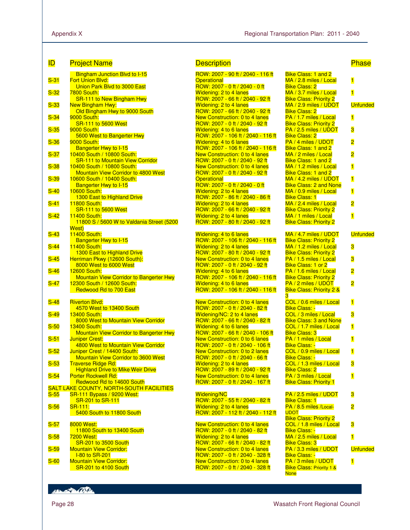| ID     | <b>Project Name</b>                                                          | <b>Description</b>                                                  |                                                            |
|--------|------------------------------------------------------------------------------|---------------------------------------------------------------------|------------------------------------------------------------|
|        | <b>Bingham Junction Blvd to I-15</b>                                         | ROW: 2007 - 90 ft / 2040 - 116 ft                                   | <b>Bike Class: 1 and 2</b>                                 |
| $S-31$ | <b>Fort Union Blvd:</b>                                                      | <b>Operational</b>                                                  | $MA / 2.8$ miles / Loc                                     |
| $S-32$ | Union Park Blvd to 3000 East<br><u>7800 South:</u>                           | ROW: 2007 - 0 ft / 2040 - 0 ft<br><b>Widening: 2 to 4 lanes</b>     | <b>Bike Class: 2</b><br>MA / 3.7 miles / Loc               |
|        | <b>SR-111 to New Bingham Hwy</b>                                             | ROW: 2007 - 66 ft / 2040 - 92 ft                                    | <b>Bike Class: Priority:</b>                               |
| $S-33$ | <b>New Bingham Hwy:</b>                                                      | Widening: 2 to 4 lanes                                              | MA / 2.9 miles / UD                                        |
|        | Old Bingham Hwy to 9000 South                                                | ROW: 2007 - 66 ft / 2040 - 92 ft                                    | <b>Bike Class: 2</b>                                       |
| $S-34$ | <b>9000 South:</b>                                                           | New Construction: 0 to 4 lanes                                      | PA / 1.7 miles / Loca                                      |
|        | SR-111 to 5600 West                                                          | ROW: 2007 - 0 ft / 2040 - 92 ft                                     | <b>Bike Class: Priority:</b>                               |
| $S-35$ | <b>9000 South:</b>                                                           | <b>Widening: 4 to 6 lanes</b>                                       | <b>PA / 2.5 miles / UDC</b>                                |
| $S-36$ | 5600 West to Bangerter Hwy<br>9000 South:                                    | ROW: 2007 - 106 ft / 2040 - 116 ft<br><b>Widening: 4 to 6 lanes</b> | <b>Bike Class: 2</b><br>PA / 4 miles / UDOT                |
|        | <b>Bangerter Hwy to I-15</b>                                                 | ROW: 2007 - 106 ft / 2040 - 116 ft                                  | <b>Bike Class: 1 and 2</b>                                 |
| $S-37$ | 10400 South / 10800 South:                                                   | New Construction: 0 to 4 lanes                                      | MA / 2 miles / Local                                       |
|        | <b>SR-111 to Mountain View Corridor</b>                                      | ROW: 2007 - 0 ft / 2040 - 92 ft                                     | <b>Bike Class: 1 and 2</b>                                 |
| $S-38$ | 10400 South / 10800 South:                                                   | New Construction: 0 to 4 lanes                                      | $MA / 1.2$ miles / Loc                                     |
|        | <b>Mountain View Corridor to 4800 West</b>                                   | ROW: 2007 - 0 ft / 2040 - 92 ft                                     | <b>Bike Class: 1 and 2</b>                                 |
| $S-39$ | 10600 South / 10400 South:                                                   | <b>Operational</b><br>ROW: 2007 - 0 ft / 2040 - 0 ft                | MA / 4.2 miles / UD<br><b>Bike Class: 2 and N</b>          |
| $S-40$ | <b>Bangerter Hwy to I-15</b><br><b>10600 South:</b>                          | <b>Widening: 2 to 4 lanes</b>                                       | MA / 0.9 miles / Loc                                       |
|        | 1300 East to Highland Drive                                                  | ROW: 2007 - 86 ft / 2040 - 86 ft                                    | <b>Bike Class: 1</b>                                       |
| $S-41$ | <b>11800 South:</b>                                                          | Widening: 2 to 4 lanes                                              | $MA / 2.4$ miles / Loc                                     |
|        | <b>SR-111 to 5600 West</b>                                                   | ROW: 2007 - 66 ft / 2040 - 92 ft                                    | <b>Bike Class: Priority:</b>                               |
| $S-42$ | <b>11400 South:</b>                                                          | <b>Widening: 2 to 4 lanes</b>                                       | MA / 1 miles / Local                                       |
|        | 11800 S / 5600 W to Valdania Street (5200                                    | ROW: 2007 - 80 ft / 2040 - 92 ft                                    | <b>Bike Class: Priority:</b>                               |
| $S-43$ | West)<br>11400 South:                                                        | Widening: 4 to 6 lanes                                              | MA / 4.7 miles / UD                                        |
|        | <b>Bangerter Hwy to I-15</b>                                                 | ROW: 2007 - 106 ft / 2040 - 116 ft                                  | <b>Bike Class: Priority:</b>                               |
| $S-44$ | <b>11400 South:</b>                                                          | <b>Widening: 2 to 4 lanes</b>                                       | MA / 1.2 miles / Loc                                       |
|        | 1300 East to Highland Drive                                                  | ROW: 2007 - 80 ft / 2040 - 92 ft                                    | <b>Bike Class: Priority:</b>                               |
| $S-45$ | Herriman Pkwy (12600 South):                                                 | New Construction: 0 to 4 lanes                                      | PA / 1.5 miles / Loca                                      |
|        | 8000 West to 6000 West                                                       | ROW: 2007 - 0 ft / 2040 - 92 ft                                     | Bike Class: 1 or 2                                         |
| $S-46$ | <b>12600 South:</b>                                                          | <b>Widening: 4 to 6 lanes</b>                                       | PA / 1.6 miles / Loca                                      |
| $S-47$ | <b>Mountain View Corridor to Bangerter Hwy</b><br>12300 South / 12600 South: | ROW: 2007 - 106 ft / 2040 - 116 ft<br>Widening: 4 to 6 lanes        | <b>Bike Class: Priority:</b><br><b>PA / 2 miles / UDOT</b> |
|        | Redwood Rd to 700 East                                                       | ROW: 2007 - 106 ft / 2040 - 116 ft                                  | <b>Bike Class: Priority:</b>                               |
|        |                                                                              |                                                                     | 3.                                                         |
| $S-48$ | <b>Riverton Blvd:</b>                                                        | <b>New Construction: 0 to 4 lanes</b>                               | $COL / 0.6$ miles / Lo                                     |
|        | 4570 West to 13400 South                                                     | ROW: 2007 - 0 ft / 2040 - 82 ft                                     | <b>Bike Class: -</b>                                       |
| $S-49$ | <b>13400 South:</b>                                                          | Widening/NC: 2 to 4 lanes                                           | COL / 3 miles / Loca                                       |
|        | 8000 West to Mountain View Corridor                                          | ROW: 2007 - 66 ft / 2040 - 82 ft                                    | <b>Bike Class: 3 and N</b>                                 |
| $S-50$ | <b>13400 South:</b><br><b>Mountain View Corridor to Bangerter Hwy</b>        | <b>Widening: 4 to 6 lanes</b><br>ROW: 2007 - 66 ft / 2040 - 106 ft  | COL / 1.7 miles / Lo<br><b>Bike Class: 3</b>               |
| $S-51$ | <b>Juniper Crest:</b>                                                        | New Construction: 0 to 6 lanes                                      | PA / 1 miles / Local                                       |
|        | 4800 West to Mountain View Corridor                                          | ROW: 2007 - 0 ft / 2040 - 106 ft                                    | <b>Bike Class: -</b>                                       |
| $S-52$ | Juniper Crest / 14400 South:                                                 | New Construction: 0 to 2 lanes                                      | COL / 0.9 miles / Lo                                       |
|        | <b>Mountain View Corridor to 3600 West</b>                                   | <u>ROW: 2007 - 0 ft / 2040 - 66 ft</u>                              | <b>Bike Class: -</b>                                       |
| $S-53$ | <b>Traverse Ridge Rd:</b>                                                    | Widening: 2 to 4 lanes                                              | COL / 1.3 miles / Lo                                       |
|        | <b>Highland Drive to Mike Weir Drive</b>                                     | ROW: 2007 - 89 ft / 2040 - 92 ft                                    | <b>Bike Class: 2</b>                                       |
| $S-54$ | <b>Porter Rockwell Rd:</b><br>Redwood Rd to 14600 South                      | New Construction: 0 to 4 lanes<br>ROW: 2007 - 0 ft / 2040 - 167 ft  | PA / 3 miles / Local<br><b>Bike Class: Priority</b>        |
|        | <b>SALT LAKE COUNTY, NORTH-SOUTH FACILITIES</b>                              |                                                                     |                                                            |
| $S-55$ | <b>SR-111 Bypass / 9200 West:</b>                                            | <b>Widening/NC</b>                                                  | $PA/2.5$ miles / UDC                                       |
|        | SR-201 to SR-111                                                             | ROW: 2007 - 55 ft / 2040 - 82 ft                                    | <b>Bike Class: 1</b>                                       |
| $S-56$ | <b>SR-111:</b>                                                               | Widening: 2 to 4 lanes                                              | PA / 8.5 miles / Local                                     |
|        | 5400 South to 11800 South                                                    | ROW: 2007 - 112 ft / 2040 - 112 ft                                  | <b>UDOT</b>                                                |
| $S-57$ | 8000 West:                                                                   | <b>New Construction: 0 to 4 lanes</b>                               | <b>Bike Class: Priority:</b><br>COL / 1.8 miles / Lo       |
|        | 11800 South to 13400 South                                                   | ROW: 2007 - 0 ft / 2040 - 82 ft                                     | <b>Bike Class: -</b>                                       |
| $S-58$ | 7200 West:                                                                   | <b>Widening: 2 to 4 lanes</b>                                       | MA / 2.5 miles / Loc                                       |
|        | <b>SR-201 to 3500 South</b>                                                  | ROW: 2007 - 66 ft / 2040 - 82 ft                                    | <b>Bike Class: 3</b>                                       |
| $S-59$ | <b>Mountain View Corridor:</b>                                               | New Construction: 0 to 4 lanes                                      | PA / 3.3 miles / UDC                                       |
|        | <b>I-80 to SR-201</b>                                                        | ROW: 2007 - 0 ft / 2040 - 328 ft                                    | <b>Bike Class: -</b>                                       |
| $S-60$ | <b>Mountain View Corridor:</b>                                               | New Construction: 0 to 4 lanes                                      | PA / 3 miles / UDOT                                        |
|        | <b>SR-201 to 4100 South</b>                                                  | ROW: 2007 - 0 ft / 2040 - 328 ft                                    | <b>Bike Class: Priority 1</b><br><b>None</b>               |

### Description **Description** Phase

| <mark>ROW: 2007 - 90 ft / 2040 - 116 ft</mark>                            |
|---------------------------------------------------------------------------|
| <b>Operational</b>                                                        |
| ROW: 2007 - 0 ft / 2040 - 0 ft                                            |
| Widening: 2 to 4 lanes                                                    |
| ROW: 2007 - 66 ft / 2040 - 92 ft                                          |
| Widening: 2 to 4 lanes                                                    |
| ROW: 2007 - 66 ft / 2040 - 92 ft                                          |
| New Construction: 0 to 4 lanes<br>ROW: 2007 - 0 ft / 2040 - 92 ft         |
|                                                                           |
| Widening: 4 to 6 lanes                                                    |
| ROW: 2007 - 106 ft / 2040 - 116 ft                                        |
| Widening: 4 to 6 lanes                                                    |
| ROW: 2007 - 106 ft / 2040 - 116 ft                                        |
| New Construction: 0 to 4 lanes                                            |
| ROW: 2007 - 0 ft / 2040 - 92 ft<br>New Construction: 0 to 4 lanes         |
| ROW: 2007 - 0 ft / 2040 - 92 ft                                           |
| <b>Operational</b>                                                        |
| ROW: 2007 - 0 ft / 2040 - 0 ft                                            |
| Widening: 2 to 4 lanes                                                    |
| ROW: 2007 - 86 ft / 2040 - 86 ft                                          |
| Widening: 2 to 4 lanes                                                    |
| ROW: 2007 - 66 ft / 2040 - 92 ft                                          |
| Widening: 2 to 4 lanes                                                    |
| <mark>ROW: 2007 - 80 ft / 2040 - 92 ft</mark>                             |
|                                                                           |
| Widening: 4 to 6 lanes                                                    |
| ROW: 2007 - 106 ft / 2040 - 116 ft                                        |
| Widening: 2 to 4 lanes                                                    |
| ROW: 2007 - 80 ft / 2040 - 92 ft                                          |
| New Construction: 0 to 4 lanes                                            |
| ROW: 2007 - 0 ft / 2040 - 92 ft                                           |
|                                                                           |
| <mark>Widening: 4 to 6 lanes</mark><br>ROW: 2007 - 106 ft / 2040 - 116 ft |
| Widening: 4 to 6 lanes                                                    |
| <mark>ROW: 2007 - 106 ft / 2040 - 116 ft</mark>                           |
|                                                                           |
|                                                                           |
|                                                                           |
|                                                                           |
| New Construction: 0 to 4 lanes<br>ROW: 2007 - 0 ft / 2040 - 82 ft         |
| Widening/NC: 2 to 4 lanes                                                 |
| ROW: 2007 - 66 ft / 2040 - 82 ft<br>Widening: 4 to 6 lanes                |
| ROW: 2007 - 66 ft / 2040 - 106 ft                                         |
|                                                                           |
| New Construction: 0 to 6 lanes<br>ROW: 2007 - 0 ft / 2040 - 106 ft        |
| New Construction: 0 to 2 lanes                                            |
| ROW: 2007 - 0 ft / 2040 - 66 ft                                           |
| Widening: 2 to 4 lanes                                                    |
| ROW: 2007 - 89 ft / 2040 - 92 ft                                          |
| New Construction: 0 to 4 lanes                                            |
| ROW: 2007 - 0 ft / 2040 - 167 ft                                          |
|                                                                           |
| <b>Widening/NC</b>                                                        |
| ROW: 2007 - 55 ft / 2040 - 82 ft                                          |
| Widening: 2 to 4 lanes                                                    |
| ROW: 2007 - 112 ft / 2040 - 112 ft                                        |
|                                                                           |
| New Construction: 0 to 4 lanes                                            |
| ROW: 2007 - 0 ft / 2040 - 82 ft                                           |
| Widening: 2 to 4 lanes                                                    |
| ROW: 2007 - 66 ft / 2040 - 82 ft                                          |
| <b>New Construction: 0 to 4 lanes</b>                                     |
| ROW: 2007 - 0 ft / 2040 - 328 ft<br>New Construction: 0 to 4 lanes        |

| <b>Bike Class: 1 and 2</b><br>MA / 2.8 miles / Local       | $\overline{\mathbf{1}}$ |
|------------------------------------------------------------|-------------------------|
| <b>Bike Class: 2</b>                                       |                         |
| MA / 3.7 miles / Local                                     | 1                       |
| <b>Bike Class: Priority 2</b>                              |                         |
| MA / 2.9 miles / UDOT                                      | <b>Unfunded</b>         |
| <b>Bike Class: 2</b>                                       |                         |
| PA / 1.7 miles / Local                                     | $\blacksquare$          |
| <b>Bike Class: Priority 2</b>                              |                         |
| PA / 2.5 miles / UDOT                                      | 3                       |
| <b>Bike Class: 2</b>                                       |                         |
| PA / 4 miles / UDOT                                        | $\overline{\mathbf{c}}$ |
| <b>Bike Class: 1 and 2</b>                                 |                         |
| MA / 2 miles / Local                                       | 2                       |
| <b>Bike Class: 1 and 2</b>                                 |                         |
| MA / 1.2 miles / Local                                     | $\overline{\mathbf{1}}$ |
| Bike Class: 1 and 2                                        |                         |
| MA / 4.2 miles / UDOT                                      | $\overline{\mathbf{1}}$ |
| <b>Bike Class: 2 and None</b>                              |                         |
| MA / 0.9 miles / Local                                     | $\overline{\mathbf{1}}$ |
| <b>Bike Class: 1</b>                                       |                         |
| MA / 2.4 miles / Local                                     | $\overline{\mathbf{c}}$ |
| <b>Bike Class: Priority 2</b>                              |                         |
| MA / 1 miles / Local                                       | $\overline{\mathbf{1}}$ |
| <b>Bike Class: Priority 2</b>                              |                         |
|                                                            |                         |
| MA / 4.7 miles / UDOT                                      | <b>Unfunded</b>         |
| <b>Bike Class: Priority 2</b>                              |                         |
| MA / 1.2 miles / Local                                     | 3                       |
| <b>Bike Class: Priority 2</b>                              |                         |
| PA / 1.5 miles / Local                                     | 3                       |
| Bike Class: 1 or 2                                         |                         |
| PA / 1.6 miles / Local                                     | 2                       |
|                                                            |                         |
|                                                            |                         |
| <b>Bike Class: Priority 2</b>                              |                         |
| PA / 2 miles / UDOT                                        | $\overline{\mathbf{c}}$ |
| <b>Bike Class: Priority 2 &amp;</b><br>3                   |                         |
| COL / 0.6 miles / Local                                    | 1                       |
| Bike Class: -                                              |                         |
| COL / 3 miles / Local                                      | 3                       |
| <b>Bike Class: 3 and None</b>                              |                         |
| COL / 1.7 miles / Local                                    | 1                       |
| <b>Bike Class: 3</b>                                       |                         |
| PA / 1 miles / Local                                       | $\overline{\mathbf{1}}$ |
| <b>Bike Class: -</b>                                       |                         |
| COL / 0.9 miles / Local                                    | $\overline{\mathbf{1}}$ |
| <u> Bike Class: -</u>                                      |                         |
| COL / 1.3 miles / Local                                    | З                       |
|                                                            |                         |
| Bike Class: 2<br>PA / 3 miles / Local                      | 1                       |
| <b>Bike Class: Priority 1</b>                              |                         |
|                                                            |                         |
| PA / 2.5 miles / UDOT                                      | 3                       |
| <b>Bike Class: 1</b>                                       |                         |
| PA / 8.5 miles / Local-                                    | 2                       |
| <b>UDOT</b>                                                |                         |
| <b>Bike Class: Priority 2</b>                              |                         |
| COL / 1.8 miles / Local                                    | 3                       |
| <b>Bike Class: -</b>                                       |                         |
| MA / 2.5 miles / Local                                     | $\overline{\mathbf{1}}$ |
| Bike Class: 3                                              |                         |
| PA / 3.3 miles / UDOT                                      | <b>Unfunded</b>         |
| <b>Bike Class: -</b>                                       |                         |
| PA / 3 miles / UDOT<br><b>Bike Class: Priority 1 &amp;</b> | $\blacksquare$          |

Hampton College

None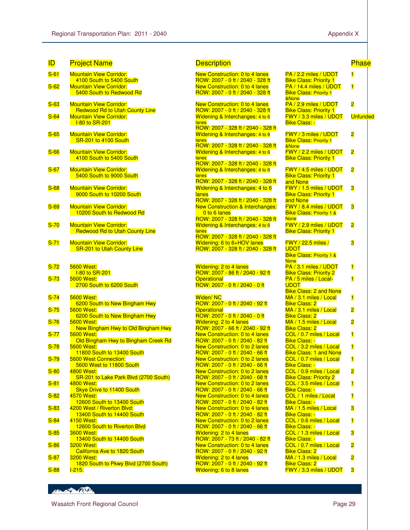| <b>ID</b>         | <b>Project Name</b>                                                     | <b>Description</b>                                                        |                                                                  | F                       |
|-------------------|-------------------------------------------------------------------------|---------------------------------------------------------------------------|------------------------------------------------------------------|-------------------------|
| $S-61$            | <b>Mountain View Corridor:</b>                                          | New Construction: 0 to 4 lanes                                            | PA / 2.2 miles / UDOT                                            | $\overline{\mathbf{1}}$ |
|                   | 4100 South to 5400 South                                                | ROW: 2007 - 0 ft / 2040 - 328 ft                                          | <b>Bike Class: Priority 1</b>                                    |                         |
| $S-62$            | <b>Mountain View Corridor:</b><br>5400 South to Redwood Rd              | New Construction: 0 to 4 lanes<br>ROW: 2007 - 0 ft / 2040 - 328 ft        | PA / 14.4 miles / UDOT<br><b>Bike Class: Priority 1</b><br>&None | $\overline{\mathbf{1}}$ |
| $S-63$            | <b>Mountain View Corridor:</b>                                          | <b>New Construction: 0 to 4 lanes</b><br>ROW: 2007 - 0 ft / 2040 - 328 ft | PA / 2.9 miles / UDOT<br><b>Bike Class: Priority 1</b>           | 2                       |
| $S-64$            | <b>Redwood Rd to Utah County Line</b><br><b>Mountain View Corridor:</b> | Widening & Interchanges: 4 to 6                                           | FWY / 3.3 miles / UDOT                                           | L                       |
|                   | <b>I-80 to SR-201</b>                                                   | lanes                                                                     | <b>Bike Class: -</b>                                             |                         |
| $S-65$            | <b>Mountain View Corridor:</b>                                          | ROW: 2007 - 328 ft / 2040 - 328 ft<br>Widening & Interchanges: 4 to 6     | <b>FWY / 3 miles / UDOT</b>                                      | 2                       |
|                   | <b>SR-201 to 4100 South</b>                                             | lanes                                                                     | <b>Bike Class: Priority 1</b>                                    |                         |
|                   |                                                                         | ROW: 2007 - 328 ft / 2040 - 328 ft                                        | &None                                                            |                         |
| $S-66$            | <b>Mountain View Corridor:</b><br>4100 South to 5400 South              | Widening & Interchanges: 4 to 6<br>lanes                                  | FWY / 2.2 miles / UDOT<br><b>Bike Class: Priority 1</b>          | 2                       |
|                   |                                                                         | ROW: 2007 - 328 ft / 2040 - 328 ft                                        |                                                                  |                         |
| $S-67$            | <b>Mountain View Corridor:</b>                                          | Widening & Interchanges: 4 to 6                                           | FWY / 4.5 miles / UDOT                                           | 2                       |
|                   | 5400 South to 9000 South                                                | lanes<br>ROW: 2007 - 328 ft / 2040 - 328 ft                               | <b>Bike Class: Priority 1</b><br>and None                        |                         |
| $S-68$            | <b>Mountain View Corridor:</b>                                          | Widening & Interchanges: 4 to 6                                           | FWY / 1.5 miles / UDOT                                           | 3                       |
|                   | 9000 South to 10200 South                                               | lanes                                                                     | <b>Bike Class: Priority 1</b>                                    |                         |
|                   |                                                                         | ROW: 2007 - 328 ft / 2040 - 328 ft                                        | and None                                                         |                         |
| $S-69$            | <b>Mountain View Corridor:</b>                                          | <b>New Construction &amp; Interchanges:</b>                               | FWY / 8.4 miles / UDOT                                           | 3                       |
|                   | 10200 South to Redwood Rd                                               | 0 to 6 lanes<br>ROW: 2007 - 328 ft / 2040 - 328 ft                        | <b>Bike Class: Priority 1 &amp;</b><br><b>None</b>               |                         |
| $S-70$            | <b>Mountain View Corridor:</b>                                          | Widening & Interchanges: 4 to 6                                           | FWY / 2.9 miles / UDOT                                           | 2                       |
|                   | <b>Redwood Rd to Utah County Line</b>                                   | lanes                                                                     | <b>Bike Class: Priority 1</b>                                    |                         |
|                   |                                                                         | ROW: 2007 - 328 ft / 2040 - 328 ft                                        |                                                                  |                         |
| $S-71$            | <b>Mountain View Corridor:</b><br>SR-201 to Utah County Line            | Widening: 6 to 6+HOV lanes<br>ROW: 2007 - 328 ft / 2040 - 328 ft          | <b>FWY</b> / 22.5 miles /<br><b>UDOT</b>                         | 3                       |
|                   |                                                                         |                                                                           | <b>Bike Class: Priority 1 &amp;</b>                              |                         |
|                   |                                                                         |                                                                           | <b>None</b>                                                      |                         |
| $S-72$            | <b>5600 West:</b>                                                       | <b>Widening: 2 to 4 lanes</b>                                             | PA / 3.1 miles / UDOT                                            | $\overline{\mathbf{1}}$ |
| $S-73$            | <b>I-80 to SR-201</b><br>5600 West:                                     | ROW: 2007 - 86 ft / 2040 - 92 ft<br><b>Operational</b>                    | <b>Bike Class: Priority 2</b><br>PA / 5 miles / Local-           | $\overline{\mathbf{1}}$ |
|                   | 2700 South to 6200 South                                                | ROW: 2007 - 0 ft / 2040 - 0 ft                                            | <b>UDOT</b>                                                      |                         |
|                   |                                                                         |                                                                           | <b>Bike Class: 2 and None</b>                                    |                         |
| $S-74$            | <b>5600 West:</b>                                                       | Widen/NC                                                                  | MA / 3.1 miles / Local                                           | $\overline{\mathbf{1}}$ |
| $S-75$            | 6200 South to New Bingham Hwy<br><b>5600 West:</b>                      | ROW: 2007 - 0 ft / 2040 - 92 ft<br><b>Operational</b>                     | <b>Bike Class: 2</b><br>MA / 3.1 miles / Local                   | $\overline{\mathbf{2}}$ |
|                   | 6200 South to New Bingham Hwy                                           | ROW: 2007 - 0 ft / 2040 - 0 ft                                            | <b>Bike Class: 2</b>                                             |                         |
| $S-76$            | 5600 West:                                                              | <b>Widening: 2 to 4 lanes</b>                                             | $MA / 1.5$ miles / Local                                         | $\overline{2}$          |
|                   | New Bingham Hwy to Old Bingham Hwy                                      | ROW: 2007 - 66 ft / 2040 - 92 ft                                          | <b>Bike Class: 2</b>                                             |                         |
| $S-77$            | 5600 West:                                                              | New Construction: 0 to 4 lanes                                            | COL / 0.7 miles / Local<br><b>Bike Class: -</b>                  | $\overline{\mathbf{1}}$ |
| $S-78$            | Old Bingham Hwy to Bingham Creek Rd<br>5600 West:                       | ROW: 2007 - 0 ft / 2040 - 82 ft<br><b>New Construction: 0 to 2 lanes</b>  | COL / 3.2 miles / Local                                          | $\overline{\mathbf{1}}$ |
|                   | 11800 South to 13400 South                                              | ROW: 2007 - 0 ft / 2040 - 66 ft                                           | <b>Bike Class: 1 and None</b>                                    |                         |
| $S-79$            | 5600 West Connection:                                                   | <b>New Construction: 0 to 2 lanes</b>                                     | COL / 0.7 miles / Local                                          | $\overline{\mathbf{1}}$ |
|                   | 5600 West to 11800 South                                                | ROW: 2007 - 0 ft / 2040 - 66 ft                                           | <b>Bike Class: -</b>                                             |                         |
| $S-80$            | 4800 West:<br>SR-201 to Lake Park Blvd (2700 South)                     | New Construction: 0 to 2 lanes<br>ROW: 2007 - 0 ft / 2040 - 68 ft         | COL / 0.9 miles / Local<br><b>Bike Class: Priority 2</b>         | 2                       |
| $S-81$            | 4800 West:                                                              | New Construction: 0 to 2 lanes                                            | COL / 3.5 miles / Local                                          | $\vert$                 |
|                   | <b>Skye Drive to 11400 South</b>                                        | ROW: 2007 - 0 ft / 2040 - 66 ft                                           | <b>Bike Class: -</b>                                             |                         |
| $S-82$            | 4570 West:                                                              | <b>New Construction: 0 to 4 lanes</b>                                     | COL / 1 miles / Local                                            | $\overline{\mathbf{1}}$ |
| $S-83$            | 12600 South to 13400 South<br>4200 West / Riverton Blvd:                | ROW: 2007 - 0 ft / 2040 - 82 ft<br><b>New Construction: 0 to 4 lanes</b>  | <b>Bike Class: -</b><br>MA / 1.5 miles / Local                   | 3                       |
|                   | 13400 South to 14400 South                                              | ROW: 2007 - 0 ft / 2040 - 82 ft                                           | <b>Bike Class: -</b>                                             |                         |
| <mark>S-84</mark> | 4150 West:                                                              | New Construction: 0 to 2 lanes                                            | COL / 0.6 miles / Local                                          | $\overline{\mathbf{1}}$ |
|                   | 12600 South to Riverton Blvd                                            | ROW: 2007 - 0 ft / 2040 - 66 ft                                           | <b>Bike Class: -</b>                                             |                         |
| $S-85$            | <b>3600 West:</b>                                                       | <b>Widening: 2 to 4 lanes</b>                                             | COL / 1.3 miles / Local                                          | 3                       |
| $S-86$            | 13400 South to 14400 South<br>3200 West:                                | ROW: 2007 - 73 ft / 2040 - 82 ft<br><b>New Construction: 0 to 4 lanes</b> | <b>Bike Class: -</b><br>COL / 0.7 miles / Local                  | 2                       |
|                   | California Ave to 1820 South                                            | ROW: 2007 - 0 ft / 2040 - 92 ft                                           | <b>Bike Class: 2</b>                                             |                         |
| $S-87$            | 3200 West:                                                              | <b>Widening: 2 to 4 lanes</b>                                             | MA / 1.3 miles / Local                                           | $\overline{\mathbf{c}}$ |
|                   | 1820 South to Pkwy Blvd (2700 South)                                    | ROW: 2007 - 0 ft / 2040 - 92 ft                                           | <b>Bike Class: 2</b>                                             |                         |
| $S-88$            | $1 - 215$ :                                                             | Widening: 6 to 8 lanes                                                    | FWY / 3.3 miles / UDOT                                           | 3                       |

#### **Description Description**

| New Construction: 0 to 4 lanes                            |
|-----------------------------------------------------------|
| ROW: 2007 - 0 ft / 2040 - 328 ft                          |
| New Construction: 0 to 4 lanes                            |
| ROW: 2007 - 0 ft / 2040 - 328 ft                          |
|                                                           |
| New Construction: 0 to 4 lanes                            |
| ROW: 2007 - 0 ft / 2040 - 328 ft                          |
| Widening & Interchanges: 4 to 6                           |
| lanes                                                     |
| ROW: 2007 - 328 ft / 2040 - 328 ft                        |
| Widening & Interchanges: 4 to 6                           |
| lanes                                                     |
| ROW: 2007 - 328 ft / 2040 - 328 ft                        |
| Widening & Interchanges: 4 to 6<br>lanes                  |
| ROW: 2007 - 328 ft / 2040 - 328 ft                        |
| Widening & Interchanges: 4 to 6                           |
| lanes                                                     |
| <mark>ROW: 2007 - 328 ft / 2040 - 328 ft</mark>           |
| Widening & Interchanges: 4 to 6                           |
| lanes                                                     |
| ROW: 2007 - 328 ft / 2040 - 328 ft                        |
| <b>New Construction &amp; Interchanges:</b>               |
| 0 to 6 lanes                                              |
| ROW: 2007 - 328 ft / 2040 - 328 ft                        |
| Widening & Interchanges: 4 to 6                           |
| lanes                                                     |
| ROW: 2007 - 328 ft / 2040 - 328 ft                        |
| Widening: 6 to 6+HOV lanes                                |
| ROW: 2007 - 328 ft / 2040 - 328 ft                        |
|                                                           |
|                                                           |
| Widening: 2 to 4 lanes                                    |
|                                                           |
|                                                           |
| ROW: 2007 - 86 ft / 2040 - 92 ft<br><b>Operational</b>    |
| ROW: 2007 - 0 ft / 2040 - 0 ft                            |
|                                                           |
| Widen/NC                                                  |
| ROW: 2007 - 0 ft / 2040 - 92 ft                           |
| <b>Operational</b>                                        |
| ROW: 2007 - 0 ft / 2040 - 0 ft                            |
| Widening: 2 to 4 lanes                                    |
| ROW: 2007 - 66 ft / 2040 - 92 ft                          |
| New Construction: 0 to 4 lanes                            |
| ROW: 2007 - 0 ft / 2040 - 82 ft                           |
| New Construction: 0 to 2 lanes                            |
| ROW: 2007 - 0 ft / 2040 - 66 ft                           |
| New Construction: 0 to 2 lanes                            |
| ROW: 2007 - 0 ft / 2040 - 66 ft                           |
| New Construction: 0 to 2 lanes                            |
| ROW: 2007 - 0 ft / 2040 - 68 ft                           |
| New Construction: 0 to 2 lanes                            |
| ROW: 2007 - 0 ft / 2040 - 66 ft                           |
| New Construction: 0 to 4 lanes                            |
| ROW: 2007 - 0 ft / 2040 - 82 ft                           |
| New Construction: 0 to 4 lanes                            |
| ROW: 2007 - 0 ft / 2040 - 82 ft                           |
| New Construction: 0 to 2 lanes                            |
| ROW: 2007 - 0 ft / 2040 - 66 ft                           |
| Widening: 2 to 4 lanes                                    |
| ROW: 2007 - 73 ft / 2040 - 82 ft                          |
| New Construction: 0 to 4 lanes                            |
| ROW: 2007 - 0 ft / 2040 - 92 ft                           |
| Widening: 2 to 4 lanes<br>ROW: 2007 - 0 ft / 2040 - 92 ft |

#### PA / 2.2 miles / UDOT **Bike Class: Priority 1** 1 PA / 14.4 miles / UDOT **Bike Class: Priority 1** &None 1 PA / 2.9 miles / UDOT **Bike Class: Priority 1** 2 FWY / 3.3 miles / UDOT Bike Class: - **Unfunded** FWY / 3 miles / UDOT **Bike Class: Priority 1** &None 2 FWY / 2.2 miles / UDOT **Bike Class: Priority 1** 2 FWY / 4.5 miles / UDOT **Bike Class: Priority 1** and None 2 FWY / 1.5 miles / UDOT **Bike Class: Priority 1** and None 3 FWY / 8.4 miles / UDOT **Bike Class: Priority 1 & None** 3 FWY / 2.9 miles / UDOT **Bike Class: Priority 1** 2 FWY / 22.5 miles / UDOT **Bike Class: Priority 1 & None** 3 PA / 3.1 miles / UDOT **Bike Class: Priority 2** 1 PA / 5 miles / Local-**UDOT** Bike Class: 2 and None 1 MA / 3.1 miles / Local **Bike Class: 2** 1 MA / 3.1 miles / Local **Bike Class: 2** 2 MA / 1.5 miles / Local **Bike Class: 2** 2 COL / 0.7 miles / Local Bike Class: - 1 COL / 3.2 miles / Local **Bike Class: 1 and None** 1 COL / 0.7 miles / Local Bike Class: - 1 COL / 0.9 miles / Local **Bike Class: Priority 2** 2 COL / 3.5 miles / Local Bike Class: - 1 COL / 1 miles / Local **Bike Class:** 1 MA / 1.5 miles / Local Bike Class: - 3 COL / 0.6 miles / Local Bike Class: - 1 COL / 1.3 miles / Local Bike Class: - 3 COL / 0.7 miles / Local **Bike Class: 2** 2 MA / 1.3 miles / Local Bike Class: 2 2

HELL OF BOOKS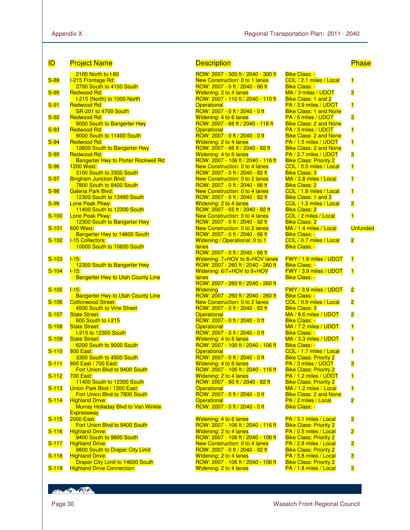| <b>ID</b>    | <b>Project Name</b>                                                   | <b>Description</b>                                                       |                                                         | <b>Phase</b>            |
|--------------|-----------------------------------------------------------------------|--------------------------------------------------------------------------|---------------------------------------------------------|-------------------------|
|              | <b>2100 North to I-80</b>                                             | ROW: 2007 - 300 ft / 2040 - 300 ft                                       | <b>Bike Class: -</b>                                    |                         |
| $S-89$       | I-215 Frontage Rd:                                                    | <b>New Construction: 0 to 1 lanes</b>                                    | COL / 2.1 miles / Local                                 | 1                       |
| $S-90$       | 2700 South to 4100 South<br>Redwood Rd:                               | ROW: 2007 - 0 ft / 2040 - 66 ft<br><b>Widening: 2 to 4 lanes</b>         | <b>Bike Class: -</b><br>MA / 3 miles / UDOT             | 3                       |
|              | I-215 (North) to 1000 North                                           | ROW: 2007 - 110 ft / 2040 - 110 ft                                       | <b>Bike Class: 1 and 2</b>                              |                         |
| $S-91$       | Redwood Rd:                                                           | <b>Operational</b>                                                       | PA / 3.9 miles / UDOT                                   | $\overline{\mathbf{1}}$ |
|              | <b>SR-201 to 4700 South</b>                                           | ROW: 2007 - 0 ft / 2040 - 0 ft                                           | <b>Bike Class: 1 and None</b>                           |                         |
| $S-92$       | Redwood Rd:<br>9000 South to Bangerter Hwy                            | Widening: 4 to 6 lanes<br>ROW: 2007 - 66 ft / 2040 - 116 ft              | PA / 6 miles / UDOT<br><b>Bike Class: 2 and None</b>    | 3                       |
| $S-93$       | <b>Redwood Rd:</b>                                                    | <b>Operational</b>                                                       | PA / 3 miles / UDOT                                     | $\overline{\mathbf{1}}$ |
|              | 9000 South to 11400 South                                             | ROW: 2007 - 0 ft / 2040 - 0 ft                                           | <b>Bike Class: 2 and None</b>                           |                         |
| $S-94$       | <b>Redwood Rd:</b>                                                    | <b>Widening: 2 to 4 lanes</b>                                            | PA / 1.5 miles / UDOT                                   | $\overline{\mathbf{1}}$ |
|              | 12600 South to Bangerter Hwy                                          | ROW: 2007 - 66 ft / 2040 - 92 ft                                         | <b>Bike Class: 2 and None</b>                           |                         |
| $S-95$       | Redwood Rd:<br><b>Bangerter Hwy to Porter Rockwell Rd</b>             | Widening: 4 to 6 lanes<br>ROW: 2007 - 106 ft / 2040 - 116 ft             | PA / 2.7 miles / UDOT<br><b>Bike Class: Priority 2</b>  | 3                       |
| $S-96$       | <b>1200 West:</b>                                                     | <b>New Construction: 0 to 4 lanes</b>                                    | COL / 0.5 miles / Local                                 | $\overline{\mathbf{1}}$ |
|              | 3100 South to 3300 South                                              | ROW: 2007 - 0 ft / 2040 - 82 ft                                          | <b>Bike Class: 3</b>                                    |                         |
| $S-97$       | <b>Bingham Junction Blvd:</b>                                         | New Construction: 0 to 2 lanes                                           | MA / 2.8 miles / Local                                  | $\overline{\mathbf{1}}$ |
|              | 7800 South to 8400 South                                              | ROW: 2007 - 0 ft / 2040 - 66 ft<br>New Construction: 0 to 4 lanes        | <b>Bike Class: 2</b><br>COL / 1.8 miles / Local         | $\overline{\mathbf{1}}$ |
| $S-98$       | Galena Park Blvd:<br>12300 South to 13490 South                       | ROW: 2007 - 0 ft / 2040 - 82 ft                                          | <b>Bike Class: 1 and 3</b>                              |                         |
| S-99         | Lone Peak Pkwy:                                                       | Widening: 2 to 4 lanes                                                   | COL / 1.2 miles / Local                                 | 3                       |
|              | 11400 South to 12300 South                                            | ROW: 2007 - 65 ft / 2040 - 92 ft                                         | <b>Bike Class: 2</b>                                    |                         |
| $S-100$      | Lone Peak Pkwy:                                                       | New Construction: 0 to 4 lanes                                           | COL / 2 miles / Local                                   | $\overline{\mathbf{1}}$ |
| $S-101$      | 12300 South to Bangerter Hwy<br><b>600 West:</b>                      | ROW: 2007 - 0 ft / 2040 - 92 ft<br><b>New Construction: 0 to 2 lanes</b> | <b>Bike Class: 2</b><br>MA / 1.4 miles / Local          | Unfunded                |
|              | Bangerter Hwy to 14600 South                                          | ROW: 2007 - 0 ft / 2040 - 66 ft                                          | <b>Bike Class: -</b>                                    |                         |
| $S-102$      | <b>I-15 Collectors:</b>                                               | Widening / Operational: 0 to 1                                           | COL / 0.7 miles / Local                                 | 2                       |
|              | 10000 South to 10600 South                                            | lanes                                                                    | <b>Bike Class: -</b>                                    |                         |
|              |                                                                       | ROW: 2007 - 0 ft / 2040 - 66 ft                                          |                                                         |                         |
| $S-103$      | $1 - 15$ :<br>12300 South to Bangerter Hwy                            | Widening: 7+HOV to 8+HOV lanes<br>ROW: 2007 - 260 ft / 2040 - 260 ft     | FWY / 1.6 miles / UDOT<br><b>Bike Class: -</b>          | $\overline{\mathbf{1}}$ |
| $S-104$      | $1 - 15$ :                                                            | Widening: 6/7+HOV to 8+HOV                                               | FWY / 3.9 miles / UDOT                                  | $\overline{\mathbf{1}}$ |
|              | <b>Bangerter Hwy to Utah County Line</b>                              | lanes                                                                    | <b>Bike Class: -</b>                                    |                         |
|              |                                                                       | ROW: 2007 - 260 ft / 2040 - 260 ft                                       |                                                         |                         |
| $S-105$      | $1 - 15$ :                                                            | <b>Widening</b>                                                          | FWY / 3.9 miles / UDOT                                  | $\overline{\mathbf{c}}$ |
| $S-106$      | <b>Bangerter Hwy to Utah County Line</b><br><b>Cottonwood Street:</b> | ROW: 2007 - 260 ft / 2040 - 260 ft<br>New Construction: 0 to 2 lanes     | <b>Bike Class: -</b><br>COL / 0.9 miles / Local         | 2                       |
|              | 4500 South to Vine Street                                             | ROW: 2007 - 0 ft / 2040 - 82 ft                                          | <b>Bike Class: 3</b>                                    |                         |
| $S-107$      | <b>State Street:</b>                                                  | <b>Operational</b>                                                       | MA / 8.6 miles / UDOT                                   | 2                       |
|              | 600 South to I-215                                                    | ROW: 2007 - 0 ft / 2040 - 0 ft                                           | <b>Bike Class: -</b>                                    |                         |
| $S-108$      | <b>State Street:</b><br><b>I-215 to 12300 South</b>                   | <b>Operational</b><br>ROW: 2007 - 0 ft / 2040 - 0 ft                     | MA / 7.2 miles / UDOT<br><b>Bike Class: -</b>           | $\overline{\mathbf{1}}$ |
| <u>S-109</u> | <b>State Street:</b>                                                  | Widening: 4 to 6 lanes                                                   | MA / 3.3 miles / UDOT                                   | $\overline{\mathbf{1}}$ |
|              | 6200 South to 9000 South                                              | ROW: 2007 - 100 ft / 2040 - 106 ft                                       | <b>Bike Class: -</b>                                    |                         |
| <u>S-110</u> | <b>900 East:</b>                                                      | <b>Operational</b>                                                       | COL / 1.7 miles / Local                                 | 1                       |
|              | 3300 South to 4500 South<br>900 East / 700 East:                      | ROW: 2007 - 0 ft / 2040 - 0 ft<br>Widening: 4 to 6 lanes                 | <b>Bike Class: Priority 2</b><br>PA / 3 miles / UDOT    |                         |
| <u>S-111</u> | Fort Union Blvd to 9400 South                                         | ROW: 2007 - 106 ft / 2040 - 116 ft                                       | <b>Bike Class: Priority 2</b>                           | 3                       |
| $S-112$      | <b>700 East:</b>                                                      | <b>Widening: 2 to 4 lanes</b>                                            | PA / 1.2 miles / UDOT                                   | $\overline{\mathbf{1}}$ |
|              | 11400 South to 12300 South                                            | ROW: 2007 - 80 ft / 2040 - 92 ft                                         | <b>Bike Class: Priority 2</b>                           |                         |
| $S-113$      | Union Park Blyd / 1300 East:                                          | <b>Operational</b>                                                       | $MA / 1.2$ miles / Local                                | $\overline{\mathbf{1}}$ |
| $S-114$      | Fort Union Blvd to 7800 South<br><b>Highland Drive:</b>               | ROW: 2007 - 0 ft / 2040 - 0 ft<br><b>Operational</b>                     | <b>Bike Class: 2 and None</b><br>PA / 2 miles / Local   | 2                       |
|              | Murray Holladay Blvd to Van Winkle                                    | ROW: 2007 - 0 ft / 2040 - 0 ft                                           | <b>Bike Class: -</b>                                    |                         |
|              | <b>Expressway</b>                                                     |                                                                          |                                                         |                         |
| <u>S-115</u> | 2000 East:                                                            | Widening: 4 to 6 lanes                                                   | PA / 3.1 miles / Local                                  | 3                       |
| $S-116$      | Fort Union Blvd to 9400 South<br><b>Highland Drive:</b>               | ROW: 2007 - 106 ft / 2040 - 116 ft<br><b>Widening: 2 to 4 lanes</b>      | <b>Bike Class: Priority 2</b><br>PA / 0.5 miles / Local |                         |
|              | 9400 South to 9800 South                                              | ROW: 2007 - 106 ft / 2040 - 106 ft                                       | <b>Bike Class: Priority 2</b>                           | 2                       |
| $S-117$      | <b>Highland Drive:</b>                                                | <b>New Construction: 0 to 4 lanes</b>                                    | PA / 2.8 miles / Local                                  | 3                       |
|              | 9800 South to Draper City Limit                                       | ROW: 2007 - 0 ft / 2040 - 92 ft                                          | <b>Bike Class: Priority 2</b>                           |                         |
| $S-118$      | <b>Highland Drive:</b>                                                | Widening: 2 to 4 lanes                                                   | PA / 5.8 miles / Local                                  | 3                       |
| $S-119$      | Draper City Limit to 14600 South<br><b>Highland Drive Connection:</b> | ROW: 2007 - 106 ft / 2040 - 106 ft<br><b>Widening: 2 to 4 lanes</b>      | <b>Bike Class: Priority 2</b><br>PA / 1.8 miles / Local | 3                       |
|              |                                                                       |                                                                          |                                                         |                         |

| <b>Bike Class: -</b>                                    |                         |
|---------------------------------------------------------|-------------------------|
| COL / 2.1 miles / Local                                 | $\blacksquare$          |
| <b>Bike Class: -</b><br>MA / 3 miles / UDOT             | 3                       |
| Bike Class: 1 and 2                                     |                         |
| PA / 3.9 miles / UDOT<br>Bike Class: 1 and None         | $\overline{\mathbf{1}}$ |
| PA / 6 miles / UDOT                                     | 3                       |
| <b>Bike Class: 2 and None</b>                           |                         |
| PA / 3 miles / UDOT<br><b>Bike Class: 2 and None</b>    | $\overline{\mathbf{1}}$ |
| PA / 1.5 miles / UDOT                                   | $\overline{\mathbf{1}}$ |
| <b>Bike Class: 2 and None</b><br>PA / 2.7 miles / UDOT  | з                       |
| <b>Bike Class: Priority 2</b>                           |                         |
| COL / 0.5 miles / Local<br><b>Bike Class: 3</b>         | $\overline{\mathbf{1}}$ |
| MA / 2.8 miles / Local                                  | $\blacksquare$          |
| <b>Bike Class: 2</b>                                    |                         |
| COL / 1.8 miles / Local<br>Bike Class: 1 and 3          | 1                       |
| COL / 1.2 miles / Local                                 | 3                       |
| <b>Bike Class: 2</b><br>COL / 2 miles / Local           | 1                       |
| Bike Class: 2                                           |                         |
| MA / 1.4 miles / Local                                  | <b>Unfunded</b>         |
| <b>Bike Class: -</b><br>COL / 0.7 miles / Local         | $\overline{\mathbf{2}}$ |
| <b>Bike Class: -</b>                                    |                         |
| FWY / 1.6 miles / UDOT                                  | $\mathbf{1}$            |
| <b>Bike Class: -</b>                                    |                         |
| FWY / 3.9 miles / UDOT<br><b>Bike Class: -</b>          | 1                       |
|                                                         |                         |
| FWY / 3.9 miles / UDOT                                  | $\overline{\mathbf{c}}$ |
| Bike Class: -<br>COL / 0.9 miles / Local                | $\overline{\mathbf{c}}$ |
| <b>Bike Class: 3</b>                                    |                         |
| MA / 8.6 miles / UDOT<br>Bike Class: -                  | $\overline{\mathbf{2}}$ |
| MA / 7.2 miles / UDOT                                   | 1                       |
| <b>Bike Class: -</b><br>MA / 3.3 miles / UDOT           |                         |
| <b>Bike Class: -</b>                                    | 1                       |
| COL / 1.7 miles / Local                                 | $\mathbf{1}$            |
| <b>Bike Class: Priority 2</b><br>PA / 3 miles / UDOT    | з                       |
| <b>Bike Class: Priority 2</b>                           |                         |
| PA / 1.2 miles / UDOT<br><b>Bike Class: Priority 2</b>  | 1                       |
| MA / 1.2 miles / Local                                  | 1                       |
| <b>Bike Class: 2 and None</b>                           |                         |
| PA / 2 miles / Local<br><b>Bike Class: -</b>            | 2                       |
|                                                         |                         |
| PA / 3.1 miles / Local<br><b>Bike Class: Priority 2</b> | 3                       |
| PA / 0.5 miles / Local                                  | 2                       |
| <b>Bike Class: Priority 2</b><br>PA / 2.8 miles / Local | 3                       |
| <b>Bike Class: Priority 2</b>                           |                         |
|                                                         |                         |
| PA / 5.8 miles / Local                                  | 3                       |
| <b>Bike Class: Priority 2</b><br>PA / 1.8 miles / Local | 3                       |

**Branch Bally**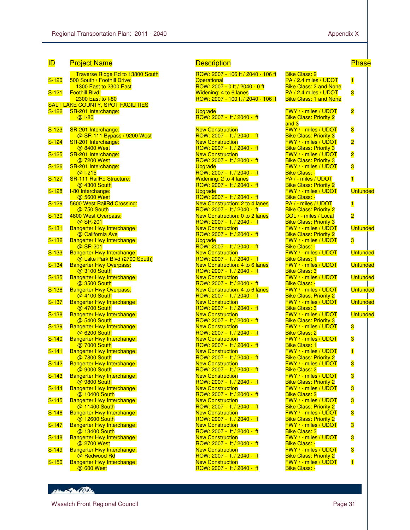| ID                 | <u>Project Name</u>                                                |
|--------------------|--------------------------------------------------------------------|
|                    | Traverse Ridge Rd to 13800 Sou                                     |
| $S-120$            | 500 South / Foothill Drive:<br>1300 East to 2300 East              |
| $S-121$            | Foothill Blvd:<br>2300 East to I-80                                |
|                    | <b>SALT LAKE COUNTY, SPOT FACILITIES</b>                           |
| S-122              | SR-201 Interchange:<br>@ 1-80                                      |
|                    |                                                                    |
| <mark>S-123</mark> | SR-201 Interchange:<br>@ SR-111 Bypass / 9200 West                 |
| $S-124$            | SR-201 Interchange:                                                |
| $S-125$            | @ 8400 West<br>SR-201 Interchange:                                 |
|                    | @7200 West                                                         |
| $S-126$            | SR-201 Interchange:<br>@ 1-215                                     |
| <u>S-127</u>       | SR-111 RailRd Structure:<br>@ 4300 South                           |
| $S-128$            | I-80 Interchange:                                                  |
| $S-129$            | @ 5600 West<br>5600 West RailRd Crossing:                          |
|                    | @750 South                                                         |
| $S-130$            | 4800 West Overpass:<br>@ SR-201                                    |
| $S-131$            | <b>Bangerter Hwy Interchange:</b>                                  |
| $S-132$            | @ California Ave<br><b>Bangerter Hwy Interchange:</b>              |
|                    | @ SR-201                                                           |
| $S-133$            | <b>Bangerter Hwy Interchange:</b><br>@ Lake Park Blvd (2700 South) |
| $S-134$            | <b>Bangerter Hwy Overpass:</b><br>@ 3100 South                     |
| $S-135$            | <b>Bangerter Hwy Interchange:</b>                                  |
| $S-136$            | @ 3500 South<br><b>Bangerter Hwy Overpass:</b>                     |
|                    | @ 4100 South                                                       |
| $S-137$            | <b>Bangerter Hwy Interchange:</b><br>@ 4700 South                  |
| <b>S-138</b>       | Bangerter Hwy Interchange:                                         |
| $S-139$            | @ 5400 South<br><b>Bangerter Hwy Interchange:</b>                  |
| <u>S-140</u>       | @ 6200 South<br>Bangerter Hwy Interchange:                         |
|                    | @7000 South                                                        |
| <u>S-141</u>       | <b>Bangerter Hwy Interchange:</b><br>@ 7800 South                  |
| <u>S-142</u>       | Bangerter Hwy Interchange:                                         |
| $S-143$            | @ 9000 South<br><b>Bangerter Hwy Interchange:</b>                  |
|                    | @ 9800 South                                                       |
| $S-144$            | <b>Bangerter Hwy Interchange:</b><br>@ 10400 South                 |
| $S-145$            | <b>Bangerter Hwy Interchange:</b><br>@ 11400 South                 |
| $S-146$            | Bangerter Hwy Interchange:                                         |
| $S-147$            | @ 12600 South<br><b>Bangerter Hwy Interchange:</b>                 |
|                    | @ 13400 South                                                      |
| $S-148$            | <b>Bangerter Hwy Interchange:</b><br>@ 2700 West                   |
| $S-149$            | <b>Bangerter Hwy Interchange:</b>                                  |
| $S-150$            | @ Redwood Rd<br>Bangerter Hwy Interchange:                         |
|                    | @ 600 West                                                         |

### <mark>Description</mark> Phase Description Phase Phase

| uth                      | ROW: 2007 - 106 ft / 2040 - 106 ft                    | <b>Bike Class: 2</b>                         |
|--------------------------|-------------------------------------------------------|----------------------------------------------|
|                          | <b>Operational</b>                                    | $PA/2.4$ miles                               |
|                          | ROW: 2007 - 0 ft / 2040 - 0 ft                        | <b>Bike Class: 2</b>                         |
|                          | Widening: 4 to 6 lanes                                | $PA/2.4$ miles                               |
|                          | ROW: 2007 - 100 ft / 2040 - 106 ft                    | <b>Bike Class: 1</b>                         |
|                          | <b>Upgrade</b>                                        | <b>FWY / - miles</b>                         |
|                          | ROW: 2007 - ft / 2040 - ft                            | <b>Bike Class: P</b><br>and 3                |
|                          | <b>New Construction</b>                               | <b>FWY / - miles</b>                         |
|                          | ROW: 2007 - ft / 2040 - ft                            | <b>Bike Class: P</b>                         |
|                          | <b>New Construction</b>                               | <b>FWY / - miles</b>                         |
|                          | ROW: 2007 - ft / 2040 - ft                            | <b>Bike Class: P</b>                         |
|                          | <b>New Construction</b><br>ROW: 2007 - ft / 2040 - ft | <b>FWY / - miles</b><br><b>Bike Class: P</b> |
|                          | Upgrade                                               | <b>FWY</b> / - miles                         |
|                          | ROW: 2007 - ft / 2040 - ft                            | <b>Bike Class: -</b>                         |
|                          | <b>Widening: 2 to 4 lanes</b>                         | $PA / - miles /$                             |
|                          | ROW: 2007 - ft / 2040 - ft                            | <b>Bike Class: P</b>                         |
|                          | <b>Upgrade</b>                                        | <b>FWY</b> / - miles                         |
|                          | ROW: 2007 - ft / 2040 - ft                            | <b>Bike Class: -</b>                         |
|                          | New Construction: 2 to 4 lanes                        | $PA / - miles /$                             |
|                          | ROW: 2007 - ft / 2040 - ft                            | <b>Bike Class: P</b>                         |
|                          | New Construction: 0 to 2 lanes                        | COL / - miles                                |
|                          | ROW: 2007 - ft / 2040 - ft                            | <b>Bike Class: P</b>                         |
|                          | <b>New Construction</b>                               | <b>FWY / - miles</b>                         |
|                          | ROW: 2007 - ft / 2040 - ft<br><b>Upgrade</b>          | <b>Bike Class: P</b><br><b>FWY / - miles</b> |
|                          | ROW: 2007 - ft / 2040 - ft                            | <b>Bike Class: -</b>                         |
|                          | <b>New Construction</b>                               | <b>FWY / - miles</b>                         |
| $\overline{\phantom{0}}$ | ROW: 2007 - ft / 2040 - ft                            | <b>Bike Class: 1</b>                         |
|                          | New Construction: 4 to 6 lanes                        | <b>FWY / - miles</b>                         |
|                          | ROW: 2007 - ft / 2040 - ft                            | <b>Bike Class: 3</b>                         |
|                          | <b>New Construction</b>                               | FWY / - miles                                |
|                          | ROW: 2007 - ft / 2040 - ft                            | <b>Bike Class: -</b>                         |
|                          | New Construction: 4 to 6 lanes                        | <b>FWY / - miles</b>                         |
|                          | ROW: 2007 - ft / 2040 - ft                            | <b>Bike Class: P</b>                         |
|                          | <b>New Construction</b><br>ROW: 2007 - ft / 2040 - ft | <b>FWY / - miles</b>                         |
|                          | <b>New Construction</b>                               | <b>Bike Class: 3</b><br><b>FWY / - miles</b> |
|                          | ROW: 2007 - ft / 2040 - ft                            | <b>Bike Class: P</b>                         |
|                          | <b>New Construction</b>                               | FWY / - miles                                |
|                          | ROW: 2007 - ft / 2040 - ft                            | <b>Bike Class: 2</b>                         |
|                          | <b>New Construction</b>                               | <b>FWY / - miles</b>                         |
|                          | ROW: 2007 - ft / 2040 - ft                            | <b>Bike Class: 1</b>                         |
|                          | <b>New Construction</b>                               | <b>FWY / - miles</b>                         |
|                          | ROW: 2007 - ft / 2040 - ft                            | <b>Bike Class: P</b>                         |
|                          | <b>New Construction</b>                               | <b>FWY / - miles</b>                         |
|                          | ROW: 2007 - ft / 2040 - ft                            | <b>Bike Class: 2</b>                         |
|                          | <b>New Construction</b><br>ROW: 2007 - ft / 2040 - ft | <b>FWY / - miles</b><br><b>Bike Class: P</b> |
|                          | <b>New Construction</b>                               | <b>FWY / - miles</b>                         |
|                          | ROW: 2007 - ft / 2040 - ft                            | <b>Bike Class: 2</b>                         |
|                          | <b>New Construction</b>                               | <b>FWY / - miles</b>                         |
|                          | ROW: 2007 - ft / 2040 - ft                            | <b>Bike Class: P</b>                         |
|                          | <b>New Construction</b>                               | <b>FWY / - miles</b>                         |
|                          | ROW: 2007 - ft / 2040 - ft                            | <b>Bike Class: P</b>                         |
|                          | <b>New Construction</b>                               | <b>FWY / - miles</b>                         |
|                          | ROW: 2007 - ft / 2040 - ft                            | <b>Bike Class: 3</b>                         |
|                          | <b>New Construction</b>                               | <b>FWY / - miles</b>                         |
|                          | ROW: 2007 - ft / 2040 - ft                            | <b>Bike Class: -</b>                         |
|                          | <b>New Construction</b>                               | <b>FWY / - miles</b>                         |
|                          | ROW: 2007 - ft / 2040 - ft<br><b>New Construction</b> | <b>Bike Class: P</b><br><b>FWY / - miles</b> |
|                          | ROW: 2007 - ft / 2040 - ft                            | <b>Bike Class: -</b>                         |
|                          |                                                       |                                              |

| טווש<br><u>Under I</u><br>PA / 2.4 miles / UDOT        | $\mathbf{1}$            |  |
|--------------------------------------------------------|-------------------------|--|
| <b>Bike Class: 2 and None</b>                          |                         |  |
| PA / 2.4 miles / UDOT                                  | 3                       |  |
| <b>Bike Class: 1 and None</b>                          |                         |  |
|                                                        |                         |  |
| FWY / - miles / UDOT                                   | $\overline{\mathbf{c}}$ |  |
| <b>Bike Class: Priority 2</b>                          |                         |  |
| and 3                                                  |                         |  |
| FWY / - miles / UDOT                                   | 3                       |  |
| <b>Bike Class: Priority 3</b>                          |                         |  |
| <b>FWY / - miles / UDOT</b>                            | 2                       |  |
| <b>Bike Class: Priority 3</b>                          | $\overline{\mathbf{2}}$ |  |
| FWY / - miles / UDOT<br><b>Bike Class: Priority 3</b>  |                         |  |
| FWY / - miles / UDOT                                   | 3                       |  |
| Bike Class: -                                          |                         |  |
| PA / - miles / UDOT                                    | $\vert$                 |  |
| <b>Bike Class: Priority 2</b>                          |                         |  |
| FWY / - miles / UDOT                                   | <b>Unfunded</b>         |  |
| Bike Class: -                                          |                         |  |
| PA / - miles / UDOT                                    | $\vert$                 |  |
| <b>Bike Class: Priority 2</b>                          |                         |  |
| COL / - miles / Local                                  | $\overline{\mathbf{2}}$ |  |
| <b>Bike Class: Priority 3</b>                          | Unfunded                |  |
| FWY / - miles / UDOT<br><b>Bike Class: Priority 2</b>  |                         |  |
| FWY / - miles / UDOT                                   | 3                       |  |
| <mark>Bike Class: -</mark>                             |                         |  |
| FWY / - miles / UDOT                                   | <b>Unfunded</b>         |  |
| <u> Bike Class: 1</u>                                  |                         |  |
| FWY / - miles / UDOT                                   | Unfunded                |  |
| Bike Class: 3                                          |                         |  |
| FWY / - miles / UDOT                                   | <b>Unfunded</b>         |  |
| <u> Bike Class: -</u><br>FWY / - miles / UDOT Unfunded |                         |  |
| <b>Bike Class: Priority 2</b>                          |                         |  |
| <b>FWY</b> / - miles / UDOT                            | <b>Unfunded</b>         |  |
| Bike Class: 3                                          |                         |  |
| FWY / - miles / UDOT                                   | <b>Unfunded</b>         |  |
| <b>Bike Class: Priority 3</b>                          |                         |  |
| FWY / - miles / UDOT                                   | 3                       |  |
| Bike Class: 2                                          |                         |  |
| FWY / - miles / UDOT                                   | 3                       |  |
| Bike Class: 1<br><b>FWY / - miles / UDOT</b>           | $\vert$                 |  |
| Bike Class: Priority 2                                 |                         |  |
| <u>FWY / - miles / UDOT</u>                            | 3                       |  |
| Bike Class: 2                                          |                         |  |
| FWY / - miles / UDOT                                   | 3                       |  |
| <u> Bike Class: Priority 2</u>                         |                         |  |
| FWY / - miles / UDOT                                   | 3                       |  |
| <u> Bike Class: 2</u>                                  |                         |  |
| FWY / - miles / UDOT<br><b>Bike Class: Priority 2</b>  | 3                       |  |
| FWY / - miles / UDOT                                   | 3                       |  |
| Bike Class: Priority 2                                 |                         |  |
| <b>FWY</b> / - miles / UDOT                            | 3                       |  |
| Bike Class: 3                                          |                         |  |
| FWY / - miles / UDOT                                   | 3                       |  |
| Bike Class: -                                          |                         |  |
| <u>FWY / - miles / UDOT</u><br>Bike Class: Priority 2  | 3                       |  |
| FWY / - miles / UDOT                                   | 1                       |  |
| <mark>Bike Class: -</mark>                             |                         |  |
|                                                        |                         |  |

Henry Company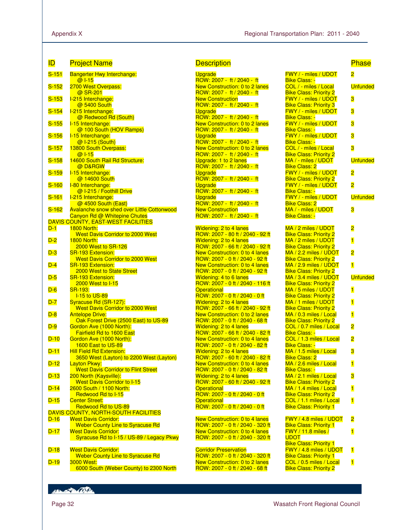| <b>ID</b> | <b>Project Name</b>                                                         | <b>Description</b>                                                       |                                                          | <b>Phase</b>            |
|-----------|-----------------------------------------------------------------------------|--------------------------------------------------------------------------|----------------------------------------------------------|-------------------------|
| $S-151$   | <b>Bangerter Hwy Interchange:</b>                                           | <b>Upgrade</b>                                                           | <b>FWY / - miles / UDOT</b>                              | $\overline{\mathbf{c}}$ |
| $S-152$   | $@1 - 15$<br>2700 West Overpass:                                            | ROW: 2007 - ft / 2040 - ft<br>New Construction: 0 to 2 lanes             | <b>Bike Class: -</b><br>COL / - miles / Local            | Unfunded                |
|           | @ SR-201                                                                    | $ROW: 2007 - ft / 2040 - ft$                                             | <b>Bike Class: Priority 2</b>                            |                         |
| $S-153$   | I-215 Interchange:                                                          | <b>New Construction</b>                                                  | FWY / - miles / UDOT                                     | 3                       |
|           | @ 5400 South                                                                | ROW: 2007 - ft / 2040 - ft                                               | <b>Bike Class: Priority 3</b>                            |                         |
| $S-154$   | I-215 Interchange:<br>@ Redwood Rd (South)                                  | <b>Upgrade</b><br>ROW: 2007 - ft / 2040 - ft                             | FWY / - miles / UDOT<br><b>Bike Class: -</b>             | 3                       |
| $S-155$   | I-15 Interchange:                                                           | New Construction: 0 to 2 lanes                                           | <b>FWY / - miles / UDOT</b>                              | 3                       |
|           | @ 100 South (HOV Ramps)                                                     | ROW: 2007 - ft / 2040 - ft                                               | <b>Bike Class: -</b>                                     |                         |
| $S-156$   | I-15 Interchange:<br>@ I-215 (South)                                        | <b>Upgrade</b><br>ROW: 2007 - ft / 2040 - ft                             | <b>FWY / - miles / UDOT</b><br><b>Bike Class: -</b>      | 3                       |
| $S-157$   | 13800 South Overpass:                                                       | <b>New Construction: 0 to 2 lanes</b>                                    | COL / - miles / Local                                    | 3                       |
|           | $@1 - 15$                                                                   | ROW: 2007 - ft / 2040 - ft                                               | <b>Bike Class: Priority 2</b>                            |                         |
| $S-158$   | 14600 South Rail Rd Structure:                                              | Upgrade: 1 to 2 lanes                                                    | MA / - miles / UDOT                                      | <b>Unfunded</b>         |
| $S-159$   | @ D&RGW<br>I-15 Interchange:                                                | ROW: 2007 - ft / 2040 - ft<br>Upgrade                                    | <b>Bike Class: 2</b><br><b>FWY / - miles / UDOT</b>      | $\overline{\mathbf{c}}$ |
|           | @ 14600 South                                                               | ROW: 2007 - ft / 2040 - ft                                               | <b>Bike Class: Priority 2</b>                            |                         |
| $S-160$   | I-80 Interchange:                                                           | <b>Upgrade</b>                                                           | <b>FWY / - miles / UDOT</b>                              | $\overline{\mathbf{2}}$ |
|           | @ I-215 / Foothill Drive                                                    | ROW: 2007 - ft / 2040 - ft                                               | <b>Bike Class: -</b>                                     |                         |
| $S-161$   | I-215 Interchange:<br>@ 4500 South (East)                                   | <b>Upgrade</b><br>ROW: 2007 - ft / 2040 - ft                             | FWY / - miles / UDOT<br><b>Bike Class: 2</b>             | <b>Unfunded</b>         |
| $S-162$   | <b>Avalanche snow shed over Little Cottonwood</b>                           | <b>New Construction</b>                                                  | MA / - miles / UDOT                                      | 3                       |
|           | Canyon Rd @ Whitepine Chutes                                                | ROW: 2007 - ft / 2040 - ft                                               | <b>Bike Class: -</b>                                     |                         |
|           | DAVIS COUNTY, EAST-WEST FACILITIES                                          |                                                                          |                                                          |                         |
| $D-1$     | <b>1800 North:</b><br><b>West Davis Corridor to 2000 West</b>               | <b>Widening: 2 to 4 lanes</b><br>ROW: 2007 - 80 ft / 2040 - 92 ft        | MA / 2 miles / UDOT<br><b>Bike Class: Priority 2</b>     | 2                       |
| $D-2$     | <b>1800 North:</b>                                                          | Widening: 2 to 4 lanes                                                   | MA / 2 miles / UDOT                                      | $\overline{\mathbf{1}}$ |
|           | 2000 West to SR-126                                                         | ROW: 2007 - 66 ft / 2040 - 92 ft                                         | <b>Bike Class: Priority 2</b>                            |                         |
| $D-3$     | <b>SR-193 Extension:</b>                                                    | New Construction: 0 to 4 lanes                                           | MA / 2.2 miles / UDOT                                    | $\overline{\mathbf{2}}$ |
| $D-4$     | <b>West Davis Corridor to 2000 West</b><br><b>SR-193 Extension:</b>         | ROW: 2007 - 0 ft / 2040 - 92 ft<br><b>New Construction: 0 to 4 lanes</b> | <b>Bike Class: Priority 2</b><br>MA / 2.9 miles / UDOT   | $\overline{\mathbf{1}}$ |
|           | 2000 West to State Street                                                   | ROW: 2007 - 0 ft / 2040 - 92 ft                                          | <b>Bike Class: Priority 2</b>                            |                         |
| $D-5$     | <b>SR-193 Extension:</b>                                                    | Widening: 4 to 6 lanes                                                   | $MA / 3.4$ miles / UDOT                                  | Unfunded                |
|           | 2000 West to I-15                                                           | ROW: 2007 - 0 ft / 2040 - 116 ft                                         | <b>Bike Class: Priority 2</b>                            |                         |
| $D-6$     | SR-193:<br><b>I-15 to US-89</b>                                             | <b>Operational</b><br>ROW: 2007 - 0 ft / 2040 - 0 ft                     | MA / 5 miles / UDOT                                      | $\overline{\mathbf{1}}$ |
| $D-7$     | Syracuse Rd (SR-127):                                                       | <b>Widening: 2 to 4 lanes</b>                                            | <b>Bike Class: Priority 2</b><br>MA / 1 miles / UDOT     | $\overline{\mathbf{1}}$ |
|           | <b>West Davis Corridor to 2000 West</b>                                     | ROW: 2007 - 66 ft / 2040 - 92 ft                                         | <b>Bike Class: Priority 2</b>                            |                         |
| $D-8$     | <b>Antelope Drive:</b>                                                      | New Construction: 0 to 2 lanes                                           | MA / 0.3 miles / Local                                   | $\overline{\mathbf{1}}$ |
| $D-9$     | Oak Forest Drive (2500 East) to US-89<br>Gordon Ave (1000 North):           | ROW: 2007 - 0 ft / 2040 - 68 ft<br>Widening: 2 to 4 lanes                | <b>Bike Class: Priority 2</b><br>COL / 0.7 miles / Local | $\overline{\mathbf{2}}$ |
|           | <b>Fairfield Rd to 1600 East</b>                                            | ROW: 2007 - 66 ft / 2040 - 82 ft                                         | <b>Bike Class: -</b>                                     |                         |
| $D-10$    | Gordon Ave (1000 North):                                                    | <b>New Construction: 0 to 4 lanes</b>                                    | COL / 1.3 miles / Local                                  | 2                       |
|           | 1600 East to US-89                                                          | ROW: 2007 - 0 ft / 2040 - 82 ft                                          | <b>Bike Class: -</b>                                     |                         |
| $D-11$    | <b>Hill Field Rd Extension:</b><br>3650 West (Layton) to 2200 West (Layton) | <b>Widening: 2 to 4 lanes</b><br>ROW: 2007 - 60 ft / 2040 - 82 ft        | MA / 1.5 miles / Local                                   | 3                       |
| D-12      | <b>Layton Pkwy:</b>                                                         | New Construction: 0 to 4 lanes                                           | <b>Bike Class: 2</b><br>MA / 2.6 miles / Local           | $\overline{\mathbf{1}}$ |
|           | <b>West Davis Corridor to Flint Street</b>                                  | ROW: 2007 - 0 ft / 2040 - 82 ft                                          | <b>Bike Class: -</b>                                     |                         |
| $D-13$    | 200 North (Kaysville):                                                      | Widening: 2 to 4 lanes                                                   | MA / 2.1 miles / Local                                   | 3                       |
| $D-14$    | <b>West Davis Corridor to I-15</b><br>2600 South / 1100 North:              | ROW: 2007 - 60 ft / 2040 - 92 ft<br><b>Operational</b>                   | <b>Bike Class: Priority 2</b><br>MA / 1.4 miles / Local  | $\overline{\mathbf{1}}$ |
|           | Redwood Rd to I-15                                                          | ROW: 2007 - 0 ft / 2040 - 0 ft                                           | <b>Bike Class: Priority 2</b>                            |                         |
| $D-15$    | <b>Center Street:</b>                                                       | <b>Operational</b>                                                       | COL / 1.1 miles / Local                                  | $\overline{\mathbf{1}}$ |
|           | <b>Redwood Rd to US-89</b>                                                  | ROW: 2007 - 0 ft / 2040 - 0 ft                                           | <b>Bike Class: Priority 1</b>                            |                         |
| $D-16$    | <b>DAVIS COUNTY, NORTH-SOUTH FACILITIES</b><br><b>West Davis Corridor:</b>  | <b>New Construction: 0 to 4 lanes</b>                                    | FWY / 4.8 miles / UDOT                                   | $\overline{\mathbf{c}}$ |
|           | <b>Weber County Line to Syracuse Rd</b>                                     | ROW: 2007 - 0 ft / 2040 - 320 ft                                         | <b>Bike Class: Priority 1</b>                            |                         |
| $D-17$    | <b>West Davis Corridor:</b>                                                 | New Construction: 0 to 4 lanes                                           | <b>FWY</b> / 11.8 miles /                                | $\overline{\mathbf{1}}$ |
|           | Syracuse Rd to I-15 / US-89 / Legacy Pkwy                                   | ROW: 2007 - 0 ft / 2040 - 320 ft                                         | <b>UDOT</b>                                              |                         |
| $D-18$    | <b>West Davis Corridor:</b>                                                 | <b>Corridor Preservation</b>                                             | <b>Bike Class: Priority 1</b><br>FWY / 4.8 miles / UDOT  | 1                       |
|           | <b>Weber County Line to Syracuse Rd</b>                                     | ROW: 2007 - 0 ft / 2040 - 320 ft                                         | <b>Bike Class: Priority 1</b>                            |                         |
| $D-19$    | 3000 West:                                                                  | New Construction: 0 to 2 lanes                                           | COL / 0.5 miles / Local                                  | $\overline{\mathbf{1}}$ |
|           | 6000 South (Weber County) to 2300 North                                     | ROW: 2007 - 0 ft / 2040 - 68 ft                                          | <b>Bike Class: Priority 2</b>                            |                         |

| <u>'escriptiol</u> |  |  |  |  |
|--------------------|--|--|--|--|
|                    |  |  |  |  |

```
Upgrade
ROW: 2007 - ft / 2040 - ft 
New Construction: 0 to 2 lanes 
ROW: 2007 - ft / 2040 - ft 
New Construction
ROW: 2007 - ft / 2040 - ft 
Upgrade
ROW: 2007 - ft / 2040 - ft 
New Construction: 0 to 2 lanes 
ROW: 2007 - ft / 2040 - ft 
Upgrade
ROW: 2007 - ft / 2040 - ft 
New Construction: 0 to 2 lanes 
ROW: 2007 - ft / 2040 - ft 
Upgrade: 1 to 2 lanes 
ROW: 2007 - ft / 2040 - ft 
Upgrade
ROW: 2007 - ft / 2040 - ft 
Upgrade
ROW: 2007 - ft / 2040 - ft 
Upgrade
ROW: 2007 - ft / 2040 - ft 
New Construction
ROW: 2007 - ft / 2040 - ft 
Widening: 2 to 4 lanes 
ROW: 2007 - 80 ft / 2040 - 92 ft 
Widening: 2 to 4 lanes 
ROW: 2007 - 66 ft / 2040 - 92 ft 
New Construction: 0 to 4 lanes 
ROW: 2007 - 0 ft / 2040 - 92 ft 
New Construction: 0 to 4 lanes 
ROW: 2007 - 0 ft / 2040 - 92 ft 
Widening: 4 to 6 lanes 
ROW: 2007 - 0 ft / 2040 - 116 ft 
Operational
ROW: 2007 - 0 ft / 2040 - 0 ft 
Widening: 2 to 4 lanes 
ROW: 2007 - 66 ft / 2040 - 92 ft 
New Construction: 0 to 2 lanes 
ROW: 2007 - 0 ft / 2040 - 68 ft 
Widening: 2 to 4 lanes 
ROW: 2007 - 66 ft / 2040 - 82 ft 
New Construction: 0 to 4 lanes 
ROW: 2007 - 0 ft / 2040 - 82 ft 
Widening: 2 to 4 lanes 
ROW: 2007 - 60 ft / 2040 - 82 ft 
New Construction: 0 to 4 lanes 
ROW: 2007 - 0 ft / 2040 - 82 ft 
Widening: 2 to 4 lanes 
ROW: 2007 - 60 ft / 2040 - 92 ft 
Operational
ROW: 2007 - 0 ft / 2040 - 0 ft 
Operational
ROW: 2007 - 0 ft / 2040 - 0 ft 
New Construction: 0 to 4 lanes 
ROW: 2007 - 0 ft / 2040 - 320 ft 
New Construction: 0 to 4 lanes 
ROW: 2007 - 0 ft / 2040 - 320 ft
```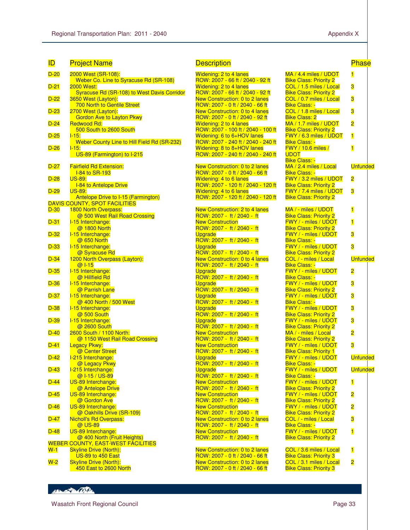| ID          | <b>Project Name</b>                                                        |
|-------------|----------------------------------------------------------------------------|
| $D-20$      | 2000 West (SR-108):                                                        |
| $D-21$      | Weber Co. Line to Syracuse Rd (SR-108)<br>2000 West:                       |
| $D-22$      | <b>Syracuse Rd (SR-108) to West Davis Corridor</b><br>3650 West (Layton):  |
| $D-23$      | <b>700 North to Gentile Street</b><br>2700 West (Layton):                  |
| $D-24$      | <b>Gordon Ave to Layton Pkwy</b><br>Redwood Rd:                            |
| $D-25$      | 500 South to 2600 South<br><u>  15:</u>                                    |
| $D-26$      | Weber County Line to Hill Field Rd (SR-232)                                |
|             | <u>l-15:</u><br>US-89 (Farmington) to I-215                                |
| $D-27$      | <b>Fairfield Rd Extension:</b>                                             |
| $D-28$      | <b>I-84 to SR-193</b><br><u>US-89:</u>                                     |
| $D-29$      | <b>I-84 to Antelope Drive</b><br>US-89:                                    |
|             | Antelope Drive to I-15 (Farmington)<br>DAVIS COUNTY, SPOT FACILITIES       |
| $D-30$      | 1800 North Overpass:                                                       |
| D-31        | @ 500 West Rail Road Crossing<br>I-15 Interchange:                         |
| $D-32$      | @ 1800 North<br>I-15 Interchange:                                          |
| D-33        | @ 650 North<br>I-15 Interchange:                                           |
| $D-34$      | @ Syracuse Rd<br>1200 North Overpass (Layton):                             |
| $D-35$      | @ I-15                                                                     |
|             | <u>I-15 Interchange:</u><br>@ Hillfield Rd                                 |
| $D-36$      | <u>I-15 Interchange:</u><br>@ Parrish Lane                                 |
| $D-37$      | I-15 Interchange:<br>@ 400 North / 500 West                                |
| $D-38$      | I-15 Interchange:<br>@ 500 South                                           |
| $D-39$      | I-15 Interchange:<br>@ 2600 South                                          |
| $D-40$      | 2600 South / 1100 North:<br>@ 1150 West Rail Road Crossing                 |
| $D-41$      | Legacy Pkwy:                                                               |
| $D-42$      | @ Center Street<br>I-215 Interchange:                                      |
| $D-43$      | @ Legacy Pkwy<br>I-215 Interchange:                                        |
| <u>D-44</u> | @ I-15 / US-89<br><u>US-89 Interchange:</u>                                |
| $D-45$      | @ Antelope Drive<br>US-89 Interchange:                                     |
| $D-46$      | @ Gordon Ave<br>US-89 Interchange:                                         |
|             | @ Oakhills Drive (SR-109)                                                  |
| $D-47$      | <b>Nicholl's Rd Overpass:</b><br>@ US-89                                   |
| $D-48$      | US-89 Interchange:<br>@ 400 North (Fruit Heights)                          |
| <u>W-1</u>  | <b>WEBER COUNTY, EAST-WEST FACILITIES</b><br><b>Skyline Drive (North):</b> |
| $W-2$       | US-89 to 450 East<br><b>Skyline Drive (North):</b>                         |
|             | 450 East to 2600 North                                                     |

### Description

| Widening: 2 to 4 lanes                                             |
|--------------------------------------------------------------------|
| ROW: 2007 - 66 ft / 2040 - 92 ft                                   |
| Widening: 2 to 4 lanes                                             |
| <u>ROW: 2007 - 66 ft / 2040 - 92 ft</u>                            |
| New Construction: 0 to 2 lanes                                     |
| ROW: 2007 - 0 ft / 2040 - 66 ft                                    |
| New Construction: 0 to 4 lanes<br>ROW: 2007 - 0 ft / 2040 - 92 ft  |
|                                                                    |
| Widening: 2 to 4 lanes<br>ROW: 2007 - 100 ft / 2040 - 100 ft       |
|                                                                    |
| Widening: 6 to 6+HOV lanes<br>ROW: 2007 - 240 ft / 2040 - 240 ft   |
| Widening: 8 to 8+HOV lanes                                         |
| ROW: 2007 - 240 ft / 2040 - 240 ft                                 |
|                                                                    |
| New Construction: 0 to 2 lanes                                     |
| ROW: 2007 - 0 ft / 2040 - 66 ft                                    |
| Widening: 4 to 6 lanes                                             |
| ROW: 2007 - 120 ft / 2040 - 120 ft                                 |
| Widening: 4 to 6 lanes                                             |
| ROW: 2007 - 120 ft / 2040 - 120 ft                                 |
|                                                                    |
| New Construction: 2 to 4 lanes                                     |
| <mark>ROW: 2007 - ft / 2040 - ft</mark><br><b>New Construction</b> |
|                                                                    |
| ROW: 2007 - ft / 2040 - ft<br>Upgrade                              |
| ROW: 2007 - ft / 2040 - ft                                         |
| <b>Upgrade</b>                                                     |
| ROW: 2007 - ft / 2040 - ft                                         |
| New Construction: 0 to 4 lanes                                     |
| ROW: 2007 - ft / 2040 - ft                                         |
| <b>Upgrade</b>                                                     |
| ROW: 2007 - ft / 2040 - ft                                         |
| <b>Upgrade</b>                                                     |
| ROW: 2007 - ft / 2040 - ft                                         |
| Upgrade                                                            |
| ROW: 2007 - ft / 2040 - ft                                         |
| Upgrade                                                            |
| ROW: 2007 - ft / 2040 - ft                                         |
| <b>Upgrade</b><br>ROW: 2007 - ft / 2040 - ft                       |
|                                                                    |
| <b>New Construction</b><br>ROW: 2007 - ft / 2040 - ft              |
| <b>New Construction</b>                                            |
| ROW: 2007 - ft / 2040 - ft                                         |
| <b>Upgrade</b>                                                     |
| ROW: 2007 - ft / 2040 - ft                                         |
| <b>Upgrade</b>                                                     |
| ROW: 2007 - ft / 2040 - ft                                         |
| <b>New Construction</b>                                            |
| ROW: 2007 - ft / 2040 - ft                                         |
| <b>New Construction</b>                                            |
| ROW: 2007 - ft / 2040 - ft                                         |
| <b>New Construction</b>                                            |
| ROW: 2007 - ft / 2040 - ft                                         |
| New Construction: 0 to 2 lanes                                     |
| ROW: 2007 - ft / 2040 - ft                                         |
| <b>New Construction</b><br>ROW: 2007 - ft / 2040 - ft              |
|                                                                    |
| New Construction: 0 to 2 lanes                                     |

ROW: 2007 - 0 ft / 2040 - 66 ft New Construction: 0 to 2 lanes ROW: 2007 - 0 ft / 2040 - 66 ft

| <b>Phase</b> |  |  |
|--------------|--|--|
|              |  |  |

| MA / 4.4 miles / UDOT                                    | 1                       |
|----------------------------------------------------------|-------------------------|
| <b>Bike Class: Priority 2</b>                            |                         |
| COL / 1.5 miles / Local                                  | 3                       |
| <b>Bike Class: Priority 2</b><br>COL / 0.7 miles / Local | 3                       |
| <b>Bike Class: -</b>                                     |                         |
| COL / 1.8 miles / Local                                  | 3                       |
| <b>Bike Class: 2</b>                                     |                         |
| MA / 1.7 miles / UDOT                                    | $\overline{\mathbf{2}}$ |
| <b>Bike Class: Priority 2</b><br>FWY / 6.3 miles / UDOT  | $\overline{\mathbf{1}}$ |
| <b>Bike Class: -</b>                                     |                         |
| FWY / 10.6 miles /                                       | $\overline{1}$          |
| <b>UDOT</b>                                              |                         |
| Bike Class: -<br>MA / 2.4 miles / Local                  | <b>Unfunded</b>         |
| <b>Bike Class: -</b>                                     |                         |
| FWY / 3.2 miles / UDOT                                   | $\overline{\mathbf{2}}$ |
| <b>Bike Class: Priority 2</b>                            |                         |
| FWY / 7.4 miles / UDOT<br><b>Bike Class: Priority 2</b>  | 3                       |
|                                                          |                         |
| MA / - miles / UDOT                                      | $\mathbf{1}$            |
| <b>Bike Class: Priority 2</b>                            | $\blacksquare$          |
| FWY / - miles / UDOT<br><b>Bike Class: Priority 2</b>    |                         |
| FWY / - miles / UDOT                                     | 3                       |
| Bike Class: -                                            |                         |
| FWY / - miles / UDOT<br><b>Bike Class: Priority 2</b>    | 3                       |
| COL / - miles / Local                                    | <b>Unfunded</b>         |
| Bike Class: -                                            |                         |
| FWY / - miles / UDOT                                     | 2                       |
| <b>Bike Class: -</b><br>FWY / - miles / UDOT             | 3                       |
| <b>Bike Class: Priority 2</b>                            |                         |
| FWY / - miles / UDOT                                     | 3                       |
| Bike Class: -<br>FWY / - miles / UDOT                    |                         |
| <b>Bike Class: Priority 2</b>                            | 3                       |
| FWY / - miles / UDOT                                     | 3                       |
| <b>Bike Class: Priority 2</b>                            |                         |
| MA / - miles / Local<br><b>Bike Class: Priority 2</b>    | $\overline{\mathbf{c}}$ |
| FWY / - miles / UDOT                                     | 3                       |
| <b>Bike Class: Priority 1</b>                            |                         |
| FWY / - miles / UDOT                                     | <b>Unfunded</b>         |
| Bike Class: -<br>FWY / - miles / UDOT                    | <b>Unfunded</b>         |
| Bike Class: -                                            |                         |
| FWY / - miles / UDOT                                     | 1                       |
| <b>Bike Class: Priority 2</b><br>FWY / - miles / UDOT    | 2                       |
| <b>Bike Class: Priority 2</b>                            |                         |
| FWY / - miles / UDOT                                     | 2                       |
| <b>Bike Class: Priority 2</b>                            |                         |
| COL / - miles / Local<br>Bike Class: -                   | З                       |
| FWY / - miles / UDOT                                     | $\mathbf{1}$            |
| <b>Bike Class: Priority 2</b>                            |                         |
|                                                          |                         |
| COL / 3.6 miles / Local<br><b>Bike Class: Priority 3</b> | $\overline{\mathbf{1}}$ |
| COL / 3.1 miles / Local                                  | $\overline{\mathbf{2}}$ |
| <b>Bike Class: Priority 3</b>                            |                         |
|                                                          |                         |

Henry March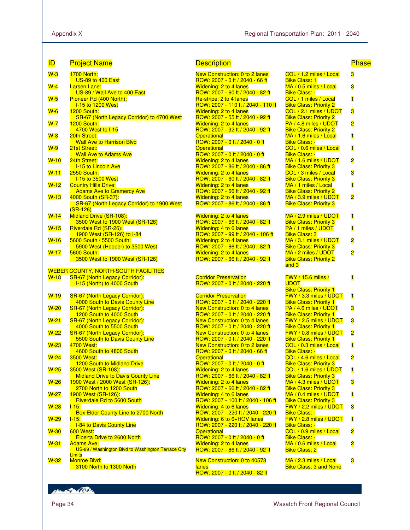| ID          | <b>Project Name</b>                                                           | <b>Description</b>                                                        |                                                                | <b>Phase</b>            |
|-------------|-------------------------------------------------------------------------------|---------------------------------------------------------------------------|----------------------------------------------------------------|-------------------------|
| $W-3$       | <b>1700 North:</b>                                                            | <b>New Construction: 0 to 2 lanes</b>                                     | COL / 1.2 miles / Local                                        | 3                       |
| $W-4$       | <b>US-89 to 400 East</b><br><b>Larsen Lane:</b>                               | ROW: 2007 - 0 ft / 2040 - 66 ft<br>Widening: 2 to 4 lanes                 | <b>Bike Class: 1</b><br>MA / 0.5 miles / Local                 | 3                       |
| $W-5$       | US-89 / Wall Ave to 400 East<br>Pioneer Rd (400 North):                       | ROW: 2007 - 60 ft / 2040 - 82 ft<br>Re-stripe: 2 to 4 lanes               | <b>Bike Class: -</b><br>COL / 1 miles / Local                  | $\overline{\mathbf{1}}$ |
|             | <b>I-15 to 1200 West</b>                                                      | ROW: 2007 - 110 ft / 2040 - 110 ft                                        | <b>Bike Class: Priority 2</b>                                  |                         |
| $W-6$       | 1200 South:<br>SR-67 (North Legacy Corridor) to 4700 West                     | <b>Widening: 2 to 4 lanes</b><br>ROW: 2007 - 55 ft / 2040 - 92 ft         | COL / 2.1 miles / UDOT<br><b>Bike Class: Priority 2</b>        | 3                       |
| $W - 7$     | 1200 South:<br>4700 West to I-15                                              | <b>Widening: 2 to 4 lanes</b><br>ROW: 2007 - 92 ft / 2040 - 92 ft         | PA / 4.8 miles / UDOT<br><b>Bike Class: Priority 2</b>         | 2                       |
| $W-8$       | 20th Street:                                                                  | <b>Operational</b>                                                        | MA / 1.6 miles / Local                                         | $\overline{\mathbf{1}}$ |
| $W-9$       | <b>Wall Ave to Harrison Blvd</b><br>21st Street:                              | ROW: 2007 - 0 ft / 2040 - 0 ft<br><b>Operational</b>                      | <b>Bike Class: -</b><br>COL / 0.6 miles / Local                | $\overline{\mathbf{1}}$ |
|             | <b>Wall Ave to Adams Ave</b>                                                  | ROW: 2007 - 0 ft / 2040 - 0 ft                                            | <b>Bike Class: -</b>                                           |                         |
| $W-10$      | 24th Street:<br><b>I-15 to Lincoln Ave</b>                                    | <b>Widening: 2 to 4 lanes</b><br>ROW: 2007 - 86 ft / 2040 - 86 ft         | MA / 1.6 miles / UDOT<br><b>Bike Class: Priority 3</b>         | 2                       |
| $W-11$      | <b>2550 South:</b><br><b>I-15 to 3500 West</b>                                | <b>Widening: 2 to 4 lanes</b><br>ROW: 2007 - 60 ft / 2040 - 82 ft         | COL / 3 miles / Local<br><b>Bike Class: Priority 3</b>         | 3                       |
| $W-12$      | <b>Country Hills Drive:</b>                                                   | <b>Widening: 2 to 4 lanes</b>                                             | MA / 1 miles / Local                                           | $\overline{\mathbf{1}}$ |
| $W-13$      | <b>Adams Ave to Gramercy Ave</b><br>4000 South (SR-37):                       | ROW: 2007 - 66 ft / 2040 - 92 ft<br><b>Widening: 2 to 4 lanes</b>         | <b>Bike Class: Priority 2</b><br>MA / 3.9 miles / UDOT         | $\overline{\mathbf{c}}$ |
|             | SR-67 (North Legacy Corridor) to 1900 West                                    | ROW: 2007 - 86 ft / 2040 - 86 ft                                          | <b>Bike Class: Priority 3</b>                                  |                         |
| $W-14$      | $(SR-126)$<br>Midland Drive (SR-108):                                         | Widening: 2 to 4 lanes                                                    | MA / 2.9 miles / UDOT                                          | $\overline{\mathbf{1}}$ |
| $W-15$      | 3500 West to 1900 West (SR-126)<br>Riverdale Rd (SR-26):                      | ROW: 2007 - 66 ft / 2040 - 82 ft<br>Widening: 4 to 6 lanes                | <b>Bike Class: Priority 3</b><br>PA / 1 miles / UDOT           | $\overline{\mathbf{1}}$ |
|             | 1900 West (SR-126) to I-84                                                    | ROW: 2007 - 99 ft / 2040 - 106 ft                                         | <b>Bike Class: 3</b>                                           |                         |
| $W-16$      | 5600 South / 5500 South:<br>5900 West (Hooper) to 3500 West                   | Widening: 2 to 4 lanes<br>ROW: 2007 - 66 ft / 2040 - 82 ft                | MA / 3.1 miles / UDOT<br><b>Bike Class: Priority 3</b>         | $\overline{\mathbf{c}}$ |
| $W-17$      | <b>5600 South:</b>                                                            | Widening: 2 to 4 lanes                                                    | MA / 2 miles / UDOT                                            | 2                       |
|             | 3500 West to 1900 West (SR-126)                                               | ROW: 2007 - 66 ft / 2040 - 92 ft                                          | <b>Bike Class: Priority 2</b><br>and 3                         |                         |
| $W-18$      | <b>WEBER COUNTY, NORTH-SOUTH FACILITIES</b><br>SR-67 (North Legacy Corridor): | <b>Corridor Preservation</b>                                              | <b>FWY</b> / 15.6 miles /                                      | $\overline{\mathbf{1}}$ |
|             | 1-15 (North) to 4000 South                                                    | ROW: 2007 - 0 ft / 2040 - 220 ft                                          | <b>UDOT</b>                                                    |                         |
| $W-19$      | <b>SR-67 (North Legacy Corridor):</b>                                         | <b>Corridor Preservation</b>                                              | <b>Bike Class: Priority 1</b><br><b>FWY / 3.3 miles / UDOT</b> | $\overline{\mathbf{1}}$ |
|             | 4000 South to Davis County Line                                               | ROW: 2007 - 0 ft / 2040 - 220 ft                                          | <b>Bike Class: Priority 1</b>                                  |                         |
| $W-20$      | SR-67 (North Legacy Corridor):<br>1200 South to 4000 South                    | <b>New Construction: 0 to 4 lanes</b><br>ROW: 2007 - 0 ft / 2040 - 220 ft | PA / 4.6 miles / UDOT<br><b>Bike Class: Priority 1</b>         | 3                       |
| $W-21$      | SR-67 (North Legacy Corridor):                                                |                                                                           |                                                                |                         |
| $W-22$      |                                                                               | New Construction: 0 to 4 lanes                                            | FWY / 2.5 miles / UDOT                                         | 3                       |
| $W-23$      | 4000 South to 5500 South<br><b>SR-67 (North Legacy Corridor):</b>             | ROW: 2007 - 0 ft / 2040 - 220 ft<br>New Construction: 0 to 4 lanes        | <b>Bike Class: Priority 1</b><br>FWY / 0.8 miles / UDOT        | $\overline{\mathbf{c}}$ |
|             | 5500 South to Davis County Line<br>4700 West:                                 | ROW: 2007 - 0 ft / 2040 - 220 ft<br><b>New Construction: 0 to 2 lanes</b> | <b>Bike Class: Priority 1</b><br>COL / 0.3 miles / Local       |                         |
| <u>W-24</u> | 4600 South to 4800 South                                                      | ROW: 2007 - 0 ft / 2040 - 66 ft                                           | <b>Bike Class: -</b>                                           | $\overline{\mathbf{1}}$ |
|             | 3500 West:<br>1200 South to Midland Drive                                     | <b>Operational</b><br>ROW: 2007 - 0 ft / 2040 - 0 ft                      | COL / 4.6 miles / Local<br><b>Bike Class: Priority 3</b>       | $\overline{\mathbf{2}}$ |
| $W-25$      | 3500 West (SR-108):                                                           | <b>Widening: 2 to 4 lanes</b>                                             | COL / 1.6 miles / UDOT                                         | 1                       |
| $W-26$      | <b>Midland Drive to Davis County Line</b><br>1900 West / 2000 West (SR-126):  | ROW: 2007 - 66 ft / 2040 - 82 ft<br><b>Widening: 2 to 4 lanes</b>         | <b>Bike Class: Priority 3</b><br>MA / 4.3 miles / UDOT         | 3                       |
|             | 2700 North to 1200 South                                                      | ROW: 2007 - 66 ft / 2040 - 82 ft<br>Widening: 4 to 6 lanes                | <b>Bike Class: Priority 3</b><br>MA / 0.4 miles / UDOT         |                         |
| $W-27$      | 1900 West (SR-126):<br>Riverdale Rd to 5600 South                             | ROW: 2007 - 100 ft / 2040 - 106 ft                                        | <b>Bike Class: Priority 3</b>                                  | $\overline{\mathbf{1}}$ |
| $W-28$      | $1 - 15$ :<br>Box Elder County Line to 2700 North                             | Widening: 4 to 6 lanes<br>ROW: 2007 - 220 ft / 2040 - 220 ft              | FWY / 2.2 miles / UDOT<br><b>Bike Class: -</b>                 | 3                       |
| $W-29$      | $1 - 15.$                                                                     | Widening: 6 to 6+HOV lanes                                                | FWY / 2.8 miles / UDOT                                         | $\overline{\mathbf{1}}$ |
| $W-30$      | <b>I-84 to Davis County Line</b><br>600 West:                                 | ROW: 2007 - 220 ft / 2040 - 220 ft<br><b>Operational</b>                  | <b>Bike Class: -</b><br>COL / 0.9 miles / Local                | 2                       |
| $W-31$      | Elberta Drive to 2600 North<br><b>Adams Ave:</b>                              | ROW: 2007 - 0 ft / 2040 - 0 ft<br><b>Widening: 2 to 4 lanes</b>           | <b>Bike Class: -</b><br>MA / 0.6 miles / Local                 |                         |
|             | US-89 / Washington Blvd to Washington Terrace City<br>Limits                  | ROW: 2007 - 86 ft / 2040 - 92 ft                                          | <b>Bike Class: 2</b>                                           | 2                       |

| <b>Description</b> |  |  |
|--------------------|--|--|
|                    |  |  |
|                    |  |  |
|                    |  |  |

```
New Construction: 0 to 2 lanes 
ROW: 2007 - 0 ft / 2040 - 66 ft 
Widening: 2 to 4 lanes 
ROW: 2007 - 60 ft / 2040 - 82 ft 
Re-stripe: 2 to 4 lanes
ROW: 2007 - 110 ft / 2040 - 110 ft 
Widening: 2 to 4 lanes 
ROW: 2007 - 55 ft / 2040 - 92 ft 
Widening: 2 to 4 lanes 
ROW: 2007 - 92 ft / 2040 - 92 ft 
Operational
ROW: 2007 - 0 ft / 2040 - 0 ft 
Operational
ROW: 2007 - 0 ft / 2040 - 0 ft 
Widening: 2 to 4 lanes 
ROW: 2007 - 86 ft / 2040 - 86 ft 
Widening: 2 to 4 lanes 
ROW: 2007 - 60 ft / 2040 - 82 ft 
Widening: 2 to 4 lanes 
ROW: 2007 - 66 ft / 2040 - 92 ft 
Widening: 2 to 4 lanes 
ROW: 2007 - 86 ft / 2040 - 86 ft 
Widening: 2 to 4 lanes
ROW: 2007 - 66 ft / 2040 - 82 ft 
Widening: 4 to 6 lanes 
ROW: 2007 - 99 ft / 2040 - 106 ft 
Widening: 2 to 4 lanes 
ROW: 2007 - 66 ft / 2040 - 82 ft 
Widening: 2 to 4 lanes 
ROW: 2007 - 66 ft / 2040 - 92 ft 
Corridor Preservation 
ROW: 2007 - 0 ft / 2040 - 220 ft 
Corridor Preservation
ROW: 2007 - 0 ft / 2040 - 220 ft 
New Construction: 0 to 4 lanes
ROW: 2007 - 0 ft / 2040 - 220 ft 
New Construction: 0 to 4 lanes
ROW: 2007 - 0 ft / 2040 - 220 ft 
New Construction: 0 to 4 lanes
ROW: 2007 - 0 ft / 2040 - 220 ft 
New Construction: 0 to 2 lanes 
ROW: 2007 - 0 ft / 2040 - 66 ft 
Operational
ROW: 2007 - 0 ft / 2040 - 0 ft 
Widening: 2 to 4 lanes 
ROW: 2007 - 66 ft / 2040 - 82 ft 
Widening: 2 to 4 lanes 
ROW: 2007 - 66 ft / 2040 - 82 ft 
Widening: 4 to 6 lanes 
ROW: 2007 - 100 ft / 2040 - 106 ft 
Widening: 4 to 6 lanes 
ROW: 2007 - 220 ft / 2040 - 220 ft 
Widening: 6 to 6+HOV lanes
ROW: 2007 - 220 ft / 2040 - 220 ft 
Operational
ROW: 2007 - 0 ft / 2040 - 0 ft 
Widening: 2 to 4 lanes 
ROW: 2007 - 86 ft / 2040 - 92 ft 
New Construction: 0 to 40578 
lanes
```
ROW: 2007 - 0 ft / 2040 - 82 ft

| Bike Class: 1                                            |                         |
|----------------------------------------------------------|-------------------------|
| MA / 0.5 miles / Local                                   | 3                       |
| <b>Bike Class: -</b><br>COL / 1 miles / Local            | 1                       |
| <b>Bike Class: Priority 2</b>                            |                         |
| COL / 2.1 miles / UDOT<br>Bike Class: Priority 2         | 3                       |
| PA / 4.8 miles / UDOT                                    | $\overline{\mathbf{2}}$ |
| <b>Bike Class: Priority 2</b><br>MA / 1.6 miles / Local  | $\overline{\mathbf{1}}$ |
| <b>Bike Class: -</b>                                     |                         |
| COL / 0.6 miles / Local<br><b>Bike Class: -</b>          | $\overline{\mathbf{1}}$ |
| MA / 1.6 miles / UDOT<br><b>Bike Class: Priority 3</b>   | $\overline{\mathbf{2}}$ |
| COL / 3 miles / Local                                    | 3                       |
| <b>Bike Class: Priority 3</b><br>MA / 1 miles / Local    | 1                       |
| <b>Bike Class: Priority 2</b>                            |                         |
| MA / 3.9 miles / UDOT<br><b>Bike Class: Priority 3</b>   | $\overline{\mathbf{c}}$ |
|                                                          |                         |
| MA / 2.9 miles / UDOT<br><b>Bike Class: Priority 3</b>   | 1                       |
| PA / 1 miles / UDOT<br><b>Bike Class: 3</b>              | $\overline{\mathbf{1}}$ |
| MA / 3.1 miles / UDOT                                    | 2                       |
| <b>Bike Class: Priority 3</b><br>MA / 2 miles / UDOT     | 2                       |
| Bike Class: Priority 2                                   |                         |
| and 3                                                    |                         |
| FWY / 15.6 miles /                                       | $\blacksquare$          |
|                                                          |                         |
| <b>UDOT</b>                                              |                         |
| <b>Bike Class: Priority 1</b><br>FWY / 3.3 miles / UDOT  | $\mathbf{1}$            |
| <b>Bike Class: Priority 1</b><br>PA / 4.6 miles / UDOT   |                         |
| <b>Bike Class: Priority 1</b>                            | 3                       |
| FWY / 2.5 miles / UDOT<br><b>Bike Class: Priority 1</b>  | 3                       |
| FWY / 0.8 miles / UDOT                                   | 2                       |
| <b>Bike Class: Priority 1</b><br>COL / 0.3 miles / Local | $\overline{\mathbf{1}}$ |
| <b>Bike Class: -</b>                                     |                         |
| COL / 4.6 miles / Local<br><b>Bike Class: Priority 3</b> | $\overline{\mathbf{c}}$ |
| COL / 1.6 miles / UDOT                                   | $\mathbf{1}$            |
| Bike Class: Priority 3<br>MA / 4.3 miles / UDOT          | 3                       |
| <b>Bike Class: Priority 3</b><br>MA / 0.4 miles / UDOT   | $\mathbf{1}$            |
| <b>Bike Class: Priority 3</b>                            |                         |
| FWY / 2.2 miles / UDOT<br><b>Bike Class: -</b>           | 3                       |
| FWY / 2.8 miles / UDOT<br><b>Bike Class: -</b>           | $\mathbf{1}$            |
| COL / 0.9 miles / Local                                  | $\overline{\mathbf{c}}$ |
| <b>Bike Class: -</b><br>MA / 0.6 miles / Local           | 2                       |
| <b>Bike Class: 2</b><br>MA / 2.3 miles / Local           | 3                       |

Bike Class: 3 and None

**RESIDENCE**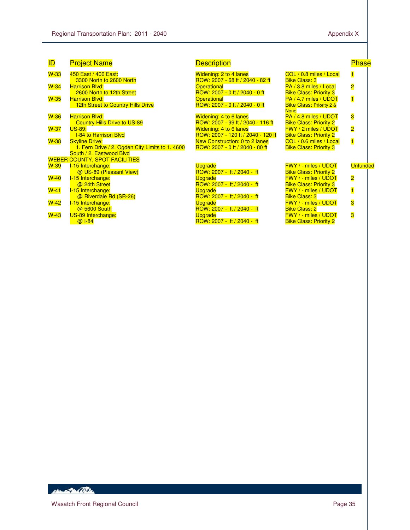| <b>ID</b> | <b>Project Name</b>                             | <b>Description</b>                 |                                     | <b>Phase</b>            |
|-----------|-------------------------------------------------|------------------------------------|-------------------------------------|-------------------------|
| $W-33$    | 450 East / 400 East:                            | Widening: 2 to 4 lanes             | COL / 0.8 miles / Local             | $\mathbf{1}$            |
|           | 3300 North to 2600 North                        | ROW: 2007 - 68 ft / 2040 - 82 ft   | <b>Bike Class: 3</b>                |                         |
| $W-34$    | <b>Harrison Blyd:</b>                           | <b>Operational</b>                 | PA / 3.8 miles / Local              | $\overline{\mathbf{2}}$ |
|           | 2600 North to 12th Street                       | ROW: 2007 - 0 ft / 2040 - 0 ft     | <b>Bike Class: Priority 3</b>       |                         |
| $W-35$    | <b>Harrison Blvd:</b>                           | <b>Operational</b>                 | PA / 4.7 miles / UDOT               | $\blacksquare$          |
|           | 12th Street to Country Hills Drive              | ROW: 2007 - 0 ft / 2040 - 0 ft     | <b>Bike Class: Priority 2 &amp;</b> |                         |
|           |                                                 |                                    | <b>None</b>                         |                         |
| $W-36$    | <b>Harrison Blvd:</b>                           | Widening: 4 to 6 lanes             | PA / 4.8 miles / UDOT               | 3                       |
|           | <b>Country Hills Drive to US-89</b>             | ROW: 2007 - 99 ft / 2040 - 116 ft  | <b>Bike Class: Priority 2</b>       |                         |
| $W-37$    | <b>US-89:</b>                                   | Widening: 4 to 6 lanes             | <b>FWY / 2 miles / UDOT</b>         | $\overline{\mathbf{2}}$ |
|           | <b>I-84 to Harrison Blyd</b>                    | ROW: 2007 - 120 ft / 2040 - 120 ft | <b>Bike Class: Priority 2</b>       |                         |
| $W-38$    | <b>Skyline Drive:</b>                           | New Construction: 0 to 2 lanes     | COL / 0.6 miles / Local             | $\overline{\mathbf{1}}$ |
|           | 1. Fern Drive / 2. Ogden City Limits to 1. 4600 | ROW: 2007 - 0 ft / 2040 - 80 ft    | <b>Bike Class: Priority 3</b>       |                         |
|           | South / 2. Eastwood Blvd                        |                                    |                                     |                         |
|           | <b>WEBER COUNTY, SPOT FACILITIES</b>            |                                    |                                     |                         |
| $W-39$    | I-15 Interchange:                               | <b>Upgrade</b>                     | <b>FWY / - miles / UDOT</b>         | <b>Unfunded</b>         |
|           | @ US-89 (Pleasant View)                         | ROW: 2007 - ft / 2040 - ft         | <b>Bike Class: Priority 2</b>       |                         |
| $W-40$    | I-15 Interchange:                               | <b>Upgrade</b>                     | <b>FWY / - miles / UDOT</b>         | $\overline{\mathbf{2}}$ |
|           | @ 24th Street                                   | ROW: 2007 - ft / 2040 - ft         | <b>Bike Class: Priority 3</b>       |                         |
| $W-41$    | I-15 Interchange:                               | <b>Upgrade</b>                     | <b>FWY / - miles / UDOT</b>         | $\overline{\mathbf{1}}$ |
|           | @ Riverdale Rd (SR-26)                          | ROW: 2007 - ft / 2040 - ft         | <b>Bike Class: 3</b>                |                         |
| $W-42$    | I-15 Interchange:                               | <b>Upgrade</b>                     | <b>FWY / - miles / UDOT</b>         | 3                       |
|           | @ 5600 South                                    | ROW: 2007 - ft / 2040 - ft         | <b>Bike Class: 2</b>                |                         |
| $W-43$    | <b>US-89 Interchange:</b>                       | <b>Upgrade</b>                     | <b>FWY / - miles / UDOT</b>         | 3                       |
|           | @ 1-84                                          | ROW: 2007 - ft / 2040 - ft         | <b>Bike Class: Priority 2</b>       |                         |
|           |                                                 |                                    |                                     |                         |

HEL AND CONTRACTOR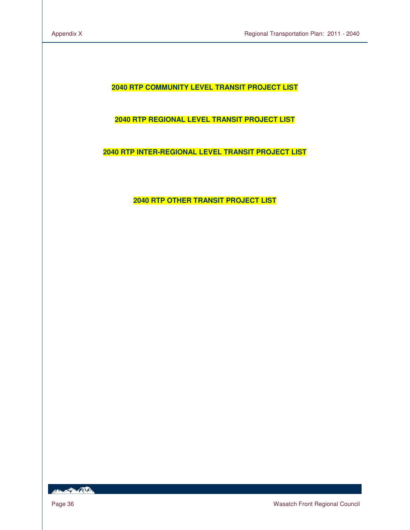**2040 RTP COMMUNITY LEVEL TRANSIT PROJECT LIST** 

**2040 RTP REGIONAL LEVEL TRANSIT PROJECT LIST**

**2040 RTP INTER-REGIONAL LEVEL TRANSIT PROJECT LIST** 

**2040 RTP OTHER TRANSIT PROJECT LIST**

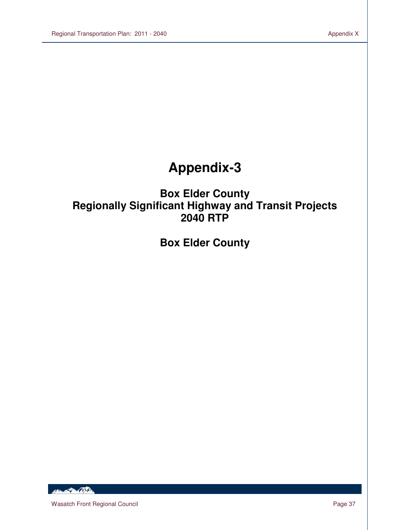# **Appendix-3**

## **Box Elder County Regionally Significant Highway and Transit Projects 2040 RTP**

## **Box Elder County**

HELL POLICE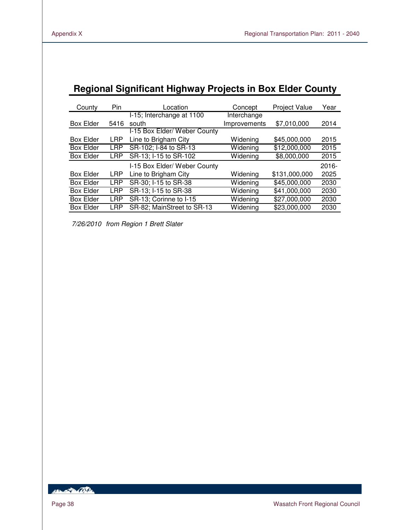| negional Significant Highway Frojects III Box Elder County |            |                              |              |                      |          |  |  |  |  |  |  |
|------------------------------------------------------------|------------|------------------------------|--------------|----------------------|----------|--|--|--|--|--|--|
| County                                                     | Pin        | Location                     | Concept      | <b>Project Value</b> | Year     |  |  |  |  |  |  |
|                                                            |            | I-15; Interchange at 1100    | Interchange  |                      |          |  |  |  |  |  |  |
| <b>Box Elder</b>                                           | 5416       | south                        | Improvements | \$7,010,000          | 2014     |  |  |  |  |  |  |
|                                                            |            | I-15 Box Elder/ Weber County |              |                      |          |  |  |  |  |  |  |
| <b>Box Elder</b>                                           | <b>LRP</b> | Line to Brigham City         | Widening     | \$45,000,000         | 2015     |  |  |  |  |  |  |
| <b>Box Elder</b>                                           | <b>LRP</b> | SR-102; I-84 to SR-13        | Widening     | \$12,000,000         | 2015     |  |  |  |  |  |  |
| <b>Box Elder</b>                                           | <b>LRP</b> | SR-13; I-15 to SR-102        | Widening     | \$8,000,000          | 2015     |  |  |  |  |  |  |
|                                                            |            | I-15 Box Elder/ Weber County |              |                      | $2016 -$ |  |  |  |  |  |  |
| <b>Box Elder</b>                                           | <b>LRP</b> | Line to Brigham City         | Widening     | \$131,000,000        | 2025     |  |  |  |  |  |  |
| <b>Box Elder</b>                                           | <b>LRP</b> | SR-30; I-15 to SR-38         | Widening     | \$45,000,000         | 2030     |  |  |  |  |  |  |
| <b>Box Elder</b>                                           | LRP        | SR-13; I-15 to SR-38         | Widening     | \$41,000,000         | 2030     |  |  |  |  |  |  |
| <b>Box Elder</b>                                           | <b>LRP</b> | SR-13; Corinne to I-15       | Widening     | \$27,000,000         | 2030     |  |  |  |  |  |  |
| <b>Box Elder</b>                                           | <b>LRP</b> | SR-82; MainStreet to SR-13   | Widening     | \$23,000,000         | 2030     |  |  |  |  |  |  |
|                                                            |            |                              |              |                      |          |  |  |  |  |  |  |

## **Regional Significant Highway Projects in Box Elder County**

7/26/2010 from Region 1 Brett Slater

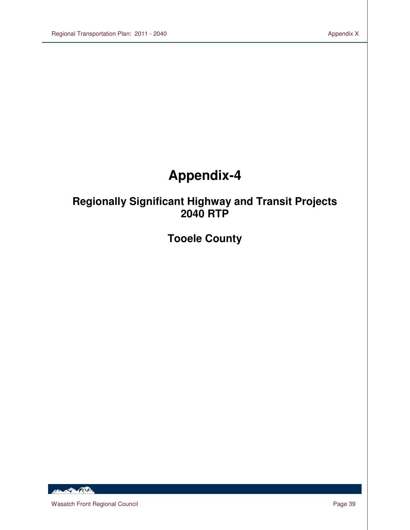# **Appendix-4**

## **Regionally Significant Highway and Transit Projects 2040 RTP**

**Tooele County**